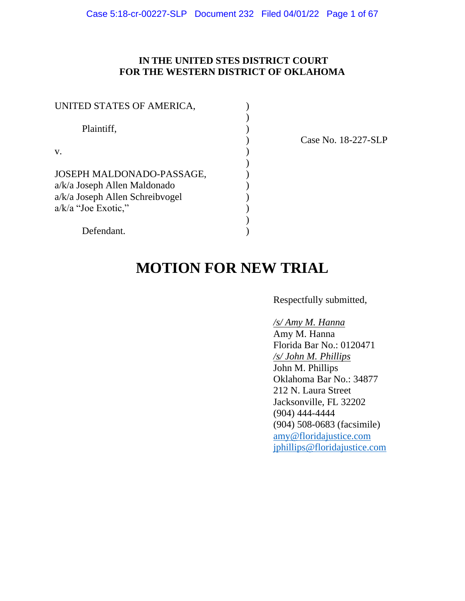# **IN THE UNITED STES DISTRICT COURT FOR THE WESTERN DISTRICT OF OKLAHOMA**

| UNITED STATES OF AMERICA,                                                                                             |  |
|-----------------------------------------------------------------------------------------------------------------------|--|
| Plaintiff,                                                                                                            |  |
| V.                                                                                                                    |  |
| JOSEPH MALDONADO-PASSAGE,<br>a/k/a Joseph Allen Maldonado<br>a/k/a Joseph Allen Schreibvogel<br>$a/k/a$ "Joe Exotic," |  |
| Defendant.                                                                                                            |  |

) Case No. 18-227-SLP

# **MOTION FOR NEW TRIAL**

Respectfully submitted,

# */s/ Amy M. Hanna*

Amy M. Hanna Florida Bar No.: 0120471 */s/ John M. Phillips*  John M. Phillips Oklahoma Bar No.: 34877 212 N. Laura Street Jacksonville, FL 32202 (904) 444-4444 (904) 508-0683 (facsimile) [amy@floridajustice.com](mailto:amy@floridajustice.com) [jphillips@floridajustice.com](mailto:jphillips@floridajustice.com)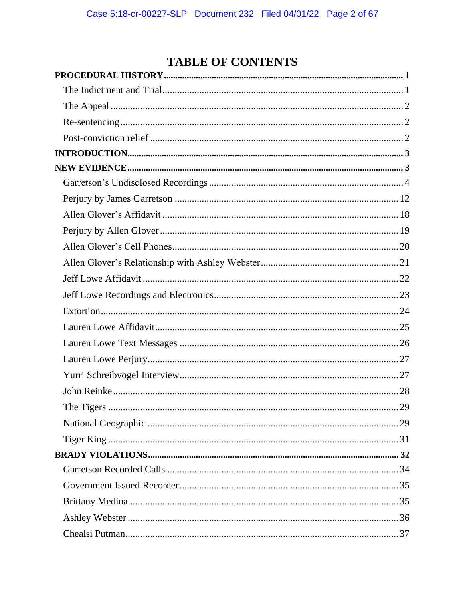# **TABLE OF CONTENTS**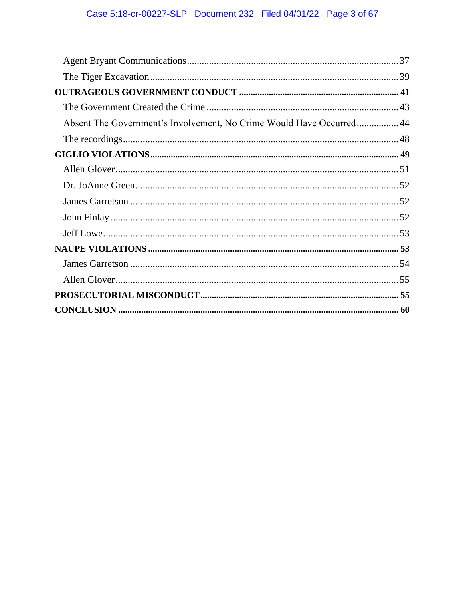| Absent The Government's Involvement, No Crime Would Have Occurred 44 |  |
|----------------------------------------------------------------------|--|
|                                                                      |  |
|                                                                      |  |
|                                                                      |  |
|                                                                      |  |
|                                                                      |  |
|                                                                      |  |
|                                                                      |  |
|                                                                      |  |
|                                                                      |  |
|                                                                      |  |
|                                                                      |  |
|                                                                      |  |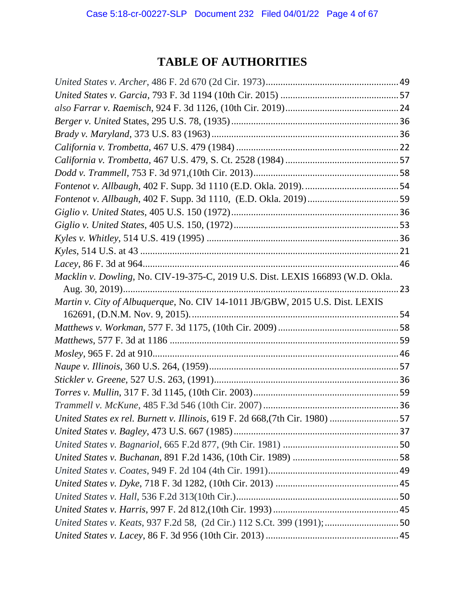# **TABLE OF AUTHORITIES**

| Macklin v. Dowling, No. CIV-19-375-C, 2019 U.S. Dist. LEXIS 166893 (W.D. Okla. |  |
|--------------------------------------------------------------------------------|--|
|                                                                                |  |
| Martin v. City of Albuquerque, No. CIV 14-1011 JB/GBW, 2015 U.S. Dist. LEXIS   |  |
|                                                                                |  |
|                                                                                |  |
|                                                                                |  |
|                                                                                |  |
|                                                                                |  |
|                                                                                |  |
|                                                                                |  |
|                                                                                |  |
| United States ex rel. Burnett v. Illinois, 619 F. 2d 668, (7th Cir. 1980) 57   |  |
|                                                                                |  |
|                                                                                |  |
|                                                                                |  |
|                                                                                |  |
|                                                                                |  |
|                                                                                |  |
|                                                                                |  |
| United States v. Keats, 937 F.2d 58, (2d Cir.) 112 S.Ct. 399 (1991); 50        |  |
|                                                                                |  |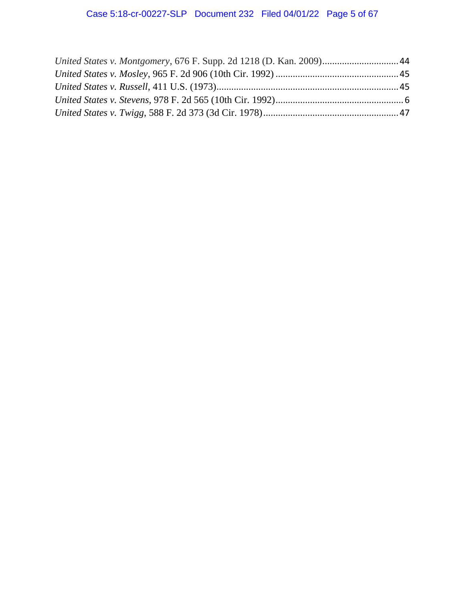| United States v. Montgomery, 676 F. Supp. 2d 1218 (D. Kan. 2009) 44 |  |
|---------------------------------------------------------------------|--|
|                                                                     |  |
|                                                                     |  |
|                                                                     |  |
|                                                                     |  |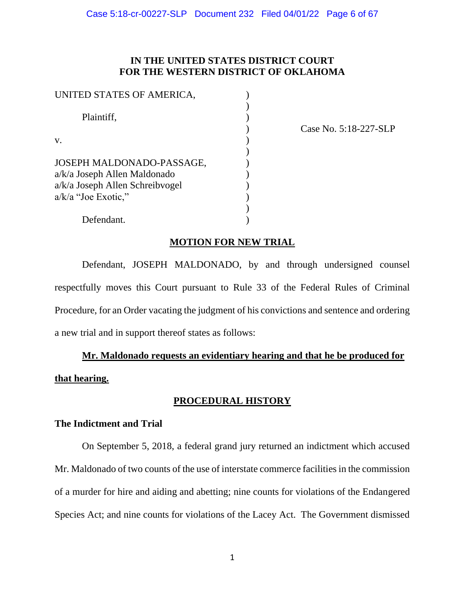# **IN THE UNITED STATES DISTRICT COURT FOR THE WESTERN DISTRICT OF OKLAHOMA**

| UNITED STATES OF AMERICA,                                                                                             |  |
|-----------------------------------------------------------------------------------------------------------------------|--|
| Plaintiff,                                                                                                            |  |
| V.                                                                                                                    |  |
| JOSEPH MALDONADO-PASSAGE,<br>a/k/a Joseph Allen Maldonado<br>a/k/a Joseph Allen Schreibvogel<br>$a/k/a$ "Joe Exotic," |  |
| Defendant.                                                                                                            |  |

) Case No. 5:18-227-SLP

# **MOTION FOR NEW TRIAL**

Defendant, JOSEPH MALDONADO, by and through undersigned counsel respectfully moves this Court pursuant to Rule 33 of the Federal Rules of Criminal Procedure, for an Order vacating the judgment of his convictions and sentence and ordering a new trial and in support thereof states as follows:

# **Mr. Maldonado requests an evidentiary hearing and that he be produced for**

<span id="page-5-0"></span>**that hearing.** 

# **PROCEDURAL HISTORY**

# <span id="page-5-1"></span>**The Indictment and Trial**

On September 5, 2018, a federal grand jury returned an indictment which accused Mr. Maldonado of two counts of the use of interstate commerce facilities in the commission of a murder for hire and aiding and abetting; nine counts for violations of the Endangered Species Act; and nine counts for violations of the Lacey Act. The Government dismissed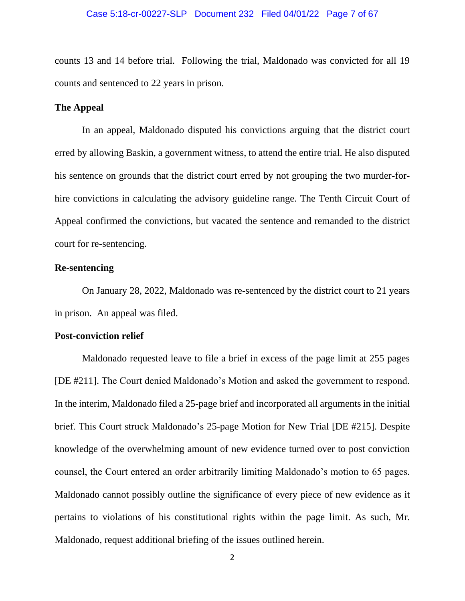counts 13 and 14 before trial. Following the trial, Maldonado was convicted for all 19 counts and sentenced to 22 years in prison.

# <span id="page-6-0"></span>**The Appeal**

In an appeal, Maldonado disputed his convictions arguing that the district court erred by allowing Baskin, a government witness, to attend the entire trial. He also disputed his sentence on grounds that the district court erred by not grouping the two murder-forhire convictions in calculating the advisory guideline range. The Tenth Circuit Court of Appeal confirmed the convictions, but vacated the sentence and remanded to the district court for re-sentencing*.* 

## <span id="page-6-1"></span>**Re-sentencing**

On January 28, 2022, Maldonado was re-sentenced by the district court to 21 years in prison. An appeal was filed.

## <span id="page-6-2"></span>**Post-conviction relief**

Maldonado requested leave to file a brief in excess of the page limit at 255 pages [DE #211]. The Court denied Maldonado's Motion and asked the government to respond. In the interim, Maldonado filed a 25-page brief and incorporated all arguments in the initial brief. This Court struck Maldonado's 25-page Motion for New Trial [DE #215]. Despite knowledge of the overwhelming amount of new evidence turned over to post conviction counsel, the Court entered an order arbitrarily limiting Maldonado's motion to 65 pages. Maldonado cannot possibly outline the significance of every piece of new evidence as it pertains to violations of his constitutional rights within the page limit. As such, Mr. Maldonado, request additional briefing of the issues outlined herein.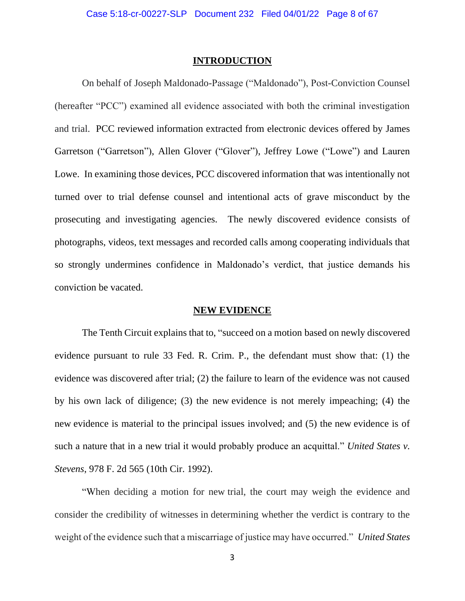#### **INTRODUCTION**

<span id="page-7-0"></span>On behalf of Joseph Maldonado-Passage ("Maldonado"), Post-Conviction Counsel (hereafter "PCC") examined all evidence associated with both the criminal investigation and trial. PCC reviewed information extracted from electronic devices offered by James Garretson ("Garretson"), Allen Glover ("Glover"), Jeffrey Lowe ("Lowe") and Lauren Lowe. In examining those devices, PCC discovered information that was intentionally not turned over to trial defense counsel and intentional acts of grave misconduct by the prosecuting and investigating agencies. The newly discovered evidence consists of photographs, videos, text messages and recorded calls among cooperating individuals that so strongly undermines confidence in Maldonado's verdict, that justice demands his conviction be vacated.

#### **NEW EVIDENCE**

<span id="page-7-1"></span>The Tenth Circuit explains that to, "succeed on a motion based on newly discovered evidence pursuant to rule 33 Fed. R. Crim. P., the defendant must show that: (1) the evidence was discovered after trial; (2) the failure to learn of the evidence was not caused by his own lack of diligence; (3) the new evidence is not merely impeaching; (4) the new evidence is material to the principal issues involved; and (5) the new evidence is of such a nature that in a new trial it would probably produce an acquittal." *United States v. Stevens*, 978 F. 2d 565 (10th Cir. 1992).

"When deciding a motion for new trial, the court may weigh the evidence and consider the credibility of witnesses in determining whether the verdict is contrary to the weight of the evidence such that a miscarriage of justice may have occurred." *United States*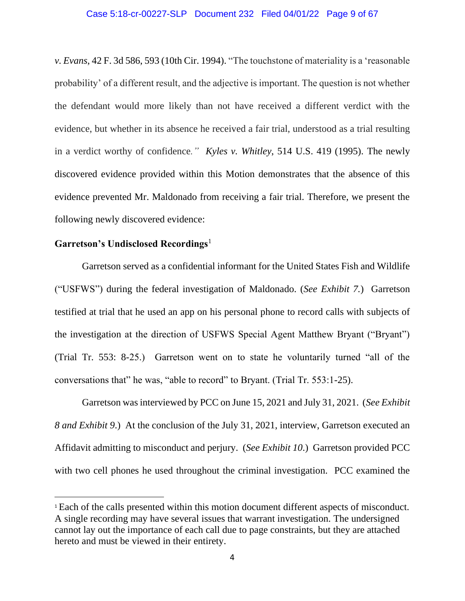#### Case 5:18-cr-00227-SLP Document 232 Filed 04/01/22 Page 9 of 67

*v. Evans*, 42 F. 3d 586, 593 (10th Cir. 1994). "The touchstone of materiality is a 'reasonable probability' of a different result, and the adjective is important. The question is not whether the defendant would more likely than not have received a different verdict with the evidence, but whether in its absence he received a fair trial, understood as a trial resulting in a verdict worthy of confidence*." Kyles v. Whitley*, 514 U.S. 419 (1995). The newly discovered evidence provided within this Motion demonstrates that the absence of this evidence prevented Mr. Maldonado from receiving a fair trial. Therefore, we present the following newly discovered evidence:

# <span id="page-8-0"></span>**Garretson's Undisclosed Recordings**<sup>1</sup>

Garretson served as a confidential informant for the United States Fish and Wildlife ("USFWS") during the federal investigation of Maldonado. (*See Exhibit 7.*) Garretson testified at trial that he used an app on his personal phone to record calls with subjects of the investigation at the direction of USFWS Special Agent Matthew Bryant ("Bryant") (Trial Tr. 553: 8-25.) Garretson went on to state he voluntarily turned "all of the conversations that" he was, "able to record" to Bryant. (Trial Tr. 553:1-25).

Garretson was interviewed by PCC on June 15, 2021 and July 31, 2021. (*See Exhibit 8 and Exhibit 9*.) At the conclusion of the July 31, 2021, interview, Garretson executed an Affidavit admitting to misconduct and perjury. (*See Exhibit 10*.) Garretson provided PCC with two cell phones he used throughout the criminal investigation. PCC examined the

<sup>1</sup> Each of the calls presented within this motion document different aspects of misconduct. A single recording may have several issues that warrant investigation. The undersigned cannot lay out the importance of each call due to page constraints, but they are attached hereto and must be viewed in their entirety.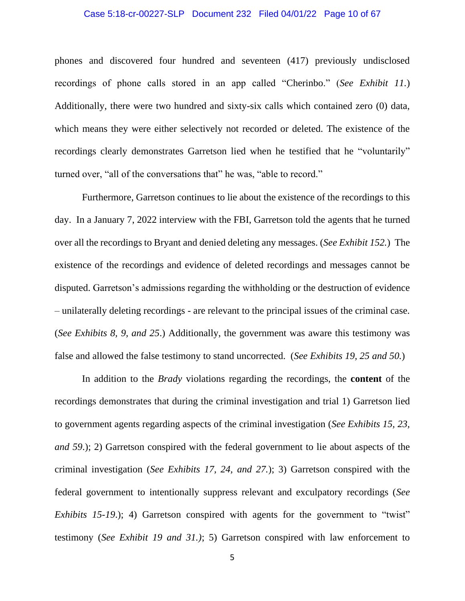## Case 5:18-cr-00227-SLP Document 232 Filed 04/01/22 Page 10 of 67

phones and discovered four hundred and seventeen (417) previously undisclosed recordings of phone calls stored in an app called "Cherinbo." (*See Exhibit 11.*) Additionally, there were two hundred and sixty-six calls which contained zero (0) data, which means they were either selectively not recorded or deleted. The existence of the recordings clearly demonstrates Garretson lied when he testified that he "voluntarily" turned over, "all of the conversations that" he was, "able to record."

Furthermore, Garretson continues to lie about the existence of the recordings to this day. In a January 7, 2022 interview with the FBI, Garretson told the agents that he turned over all the recordings to Bryant and denied deleting any messages. (*See Exhibit 152.*) The existence of the recordings and evidence of deleted recordings and messages cannot be disputed. Garretson's admissions regarding the withholding or the destruction of evidence – unilaterally deleting recordings - are relevant to the principal issues of the criminal case. (*See Exhibits 8, 9, and 25*.) Additionally, the government was aware this testimony was false and allowed the false testimony to stand uncorrected. (*See Exhibits 19, 25 and 50.*)

In addition to the *Brady* violations regarding the recordings, the **content** of the recordings demonstrates that during the criminal investigation and trial 1) Garretson lied to government agents regarding aspects of the criminal investigation (*See Exhibits 15, 23, and 59*.); 2) Garretson conspired with the federal government to lie about aspects of the criminal investigation (*See Exhibits 17, 24, and 27.*); 3) Garretson conspired with the federal government to intentionally suppress relevant and exculpatory recordings (*See Exhibits 15-19.*); 4) Garretson conspired with agents for the government to "twist" testimony (*See Exhibit 19 and 31.)*; 5) Garretson conspired with law enforcement to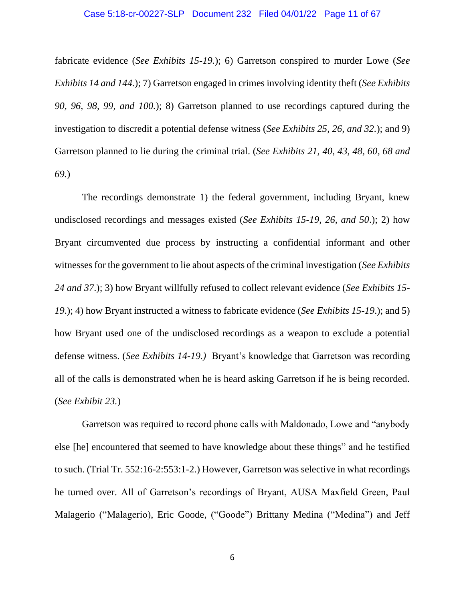fabricate evidence (*See Exhibits 15-19.*); 6) Garretson conspired to murder Lowe (*See Exhibits 14 and 144.*); 7) Garretson engaged in crimes involving identity theft (*See Exhibits 90, 96, 98, 99, and 100.*); 8) Garretson planned to use recordings captured during the investigation to discredit a potential defense witness (*See Exhibits 25, 26, and 32.*); and 9) Garretson planned to lie during the criminal trial. (*See Exhibits 21, 40, 43, 48, 60, 68 and 69.*)

The recordings demonstrate 1) the federal government, including Bryant, knew undisclosed recordings and messages existed (*See Exhibits 15-19, 26, and 50*.); 2) how Bryant circumvented due process by instructing a confidential informant and other witnesses for the government to lie about aspects of the criminal investigation (*See Exhibits 24 and 37*.); 3) how Bryant willfully refused to collect relevant evidence (*See Exhibits 15- 19*.); 4) how Bryant instructed a witness to fabricate evidence (*See Exhibits 15-19*.); and 5) how Bryant used one of the undisclosed recordings as a weapon to exclude a potential defense witness. (*See Exhibits 14-19.)* Bryant's knowledge that Garretson was recording all of the calls is demonstrated when he is heard asking Garretson if he is being recorded. (*See Exhibit 23.*)

Garretson was required to record phone calls with Maldonado, Lowe and "anybody else [he] encountered that seemed to have knowledge about these things" and he testified to such. (Trial Tr. 552:16-2:553:1-2.) However, Garretson was selective in what recordings he turned over. All of Garretson's recordings of Bryant, AUSA Maxfield Green, Paul Malagerio ("Malagerio), Eric Goode, ("Goode") Brittany Medina ("Medina") and Jeff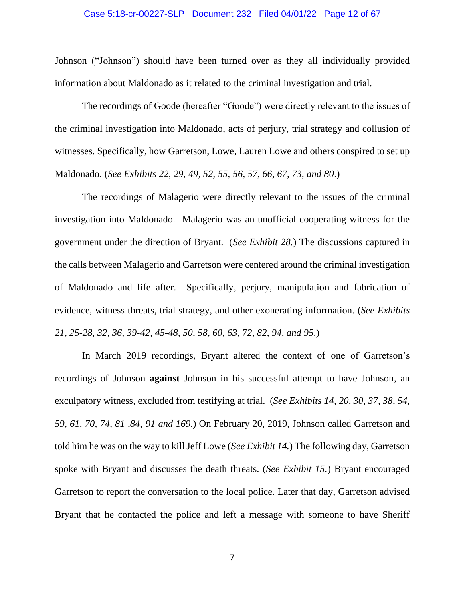# Case 5:18-cr-00227-SLP Document 232 Filed 04/01/22 Page 12 of 67

Johnson ("Johnson") should have been turned over as they all individually provided information about Maldonado as it related to the criminal investigation and trial.

The recordings of Goode (hereafter "Goode") were directly relevant to the issues of the criminal investigation into Maldonado, acts of perjury, trial strategy and collusion of witnesses. Specifically, how Garretson, Lowe, Lauren Lowe and others conspired to set up Maldonado. (*See Exhibits 22, 29, 49, 52, 55, 56, 57, 66, 67, 73, and 80*.)

The recordings of Malagerio were directly relevant to the issues of the criminal investigation into Maldonado. Malagerio was an unofficial cooperating witness for the government under the direction of Bryant. (*See Exhibit 28.*) The discussions captured in the calls between Malagerio and Garretson were centered around the criminal investigation of Maldonado and life after. Specifically, perjury, manipulation and fabrication of evidence, witness threats, trial strategy, and other exonerating information. (*See Exhibits 21, 25-28, 32, 36, 39-42, 45-48, 50, 58, 60, 63, 72, 82, 94, and 95*.)

In March 2019 recordings, Bryant altered the context of one of Garretson's recordings of Johnson **against** Johnson in his successful attempt to have Johnson, an exculpatory witness, excluded from testifying at trial. (*See Exhibits 14, 20, 30, 37, 38, 54, 59, 61, 70, 74, 81 ,84, 91 and 169.*) On February 20, 2019, Johnson called Garretson and told him he was on the way to kill Jeff Lowe (*See Exhibit 14.*) The following day, Garretson spoke with Bryant and discusses the death threats. (*See Exhibit 15.*) Bryant encouraged Garretson to report the conversation to the local police. Later that day, Garretson advised Bryant that he contacted the police and left a message with someone to have Sheriff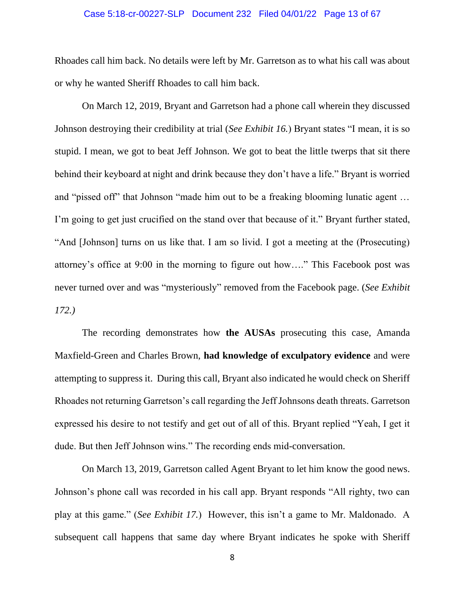## Case 5:18-cr-00227-SLP Document 232 Filed 04/01/22 Page 13 of 67

Rhoades call him back. No details were left by Mr. Garretson as to what his call was about or why he wanted Sheriff Rhoades to call him back.

On March 12, 2019, Bryant and Garretson had a phone call wherein they discussed Johnson destroying their credibility at trial (*See Exhibit 16.*) Bryant states "I mean, it is so stupid. I mean, we got to beat Jeff Johnson. We got to beat the little twerps that sit there behind their keyboard at night and drink because they don't have a life." Bryant is worried and "pissed off" that Johnson "made him out to be a freaking blooming lunatic agent … I'm going to get just crucified on the stand over that because of it." Bryant further stated, "And [Johnson] turns on us like that. I am so livid. I got a meeting at the (Prosecuting) attorney's office at 9:00 in the morning to figure out how…." This Facebook post was never turned over and was "mysteriously" removed from the Facebook page. (*See Exhibit 172.)*

The recording demonstrates how **the AUSAs** prosecuting this case, Amanda Maxfield-Green and Charles Brown, **had knowledge of exculpatory evidence** and were attempting to suppress it. During this call, Bryant also indicated he would check on Sheriff Rhoades not returning Garretson's call regarding the Jeff Johnsons death threats. Garretson expressed his desire to not testify and get out of all of this. Bryant replied "Yeah, I get it dude. But then Jeff Johnson wins." The recording ends mid-conversation.

On March 13, 2019, Garretson called Agent Bryant to let him know the good news. Johnson's phone call was recorded in his call app. Bryant responds "All righty, two can play at this game." (*See Exhibit 17.*) However, this isn't a game to Mr. Maldonado. A subsequent call happens that same day where Bryant indicates he spoke with Sheriff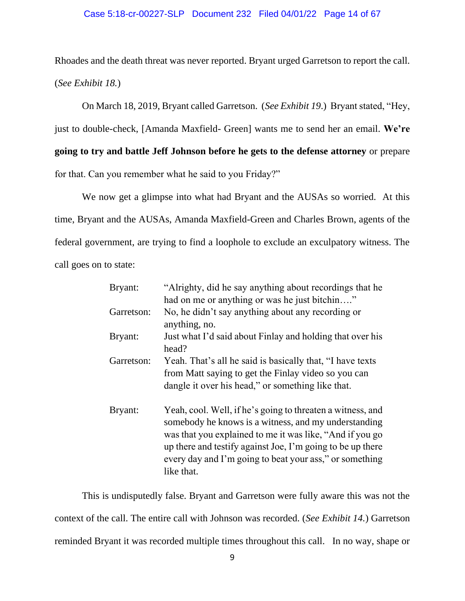#### Case 5:18-cr-00227-SLP Document 232 Filed 04/01/22 Page 14 of 67

Rhoades and the death threat was never reported. Bryant urged Garretson to report the call. (*See Exhibit 18.*)

On March 18, 2019, Bryant called Garretson. (*See Exhibit 19*.) Bryant stated, "Hey, just to double-check, [Amanda Maxfield- Green] wants me to send her an email. **We're going to try and battle Jeff Johnson before he gets to the defense attorney** or prepare for that. Can you remember what he said to you Friday?"

We now get a glimpse into what had Bryant and the AUSAs so worried. At this time, Bryant and the AUSAs, Amanda Maxfield-Green and Charles Brown, agents of the federal government, are trying to find a loophole to exclude an exculpatory witness. The call goes on to state:

| Bryant:    | "Alrighty, did he say anything about recordings that he<br>had on me or anything or was he just bitchin"                                                                                                                                                                                                              |
|------------|-----------------------------------------------------------------------------------------------------------------------------------------------------------------------------------------------------------------------------------------------------------------------------------------------------------------------|
| Garretson: | No, he didn't say anything about any recording or<br>anything, no.                                                                                                                                                                                                                                                    |
| Bryant:    | Just what I'd said about Finlay and holding that over his<br>head?                                                                                                                                                                                                                                                    |
| Garretson: | Yeah. That's all he said is basically that, "I have texts<br>from Matt saying to get the Finlay video so you can<br>dangle it over his head," or something like that.                                                                                                                                                 |
| Bryant:    | Yeah, cool. Well, if he's going to threaten a witness, and<br>somebody he knows is a witness, and my understanding<br>was that you explained to me it was like, "And if you go<br>up there and testify against Joe, I'm going to be up there<br>every day and I'm going to beat your ass," or something<br>like that. |

This is undisputedly false. Bryant and Garretson were fully aware this was not the context of the call. The entire call with Johnson was recorded. (*See Exhibit 14.*) Garretson reminded Bryant it was recorded multiple times throughout this call. In no way, shape or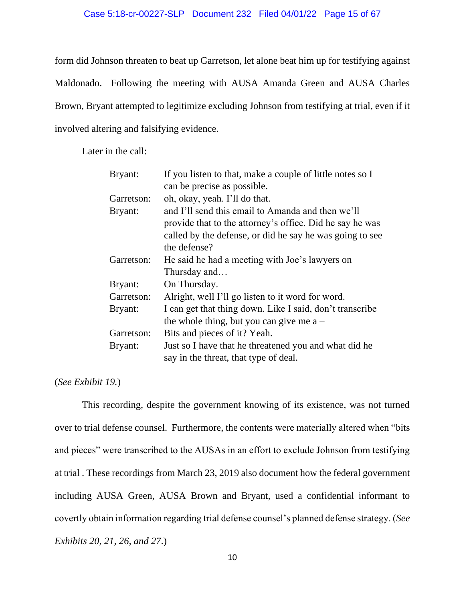# Case 5:18-cr-00227-SLP Document 232 Filed 04/01/22 Page 15 of 67

form did Johnson threaten to beat up Garretson, let alone beat him up for testifying against Maldonado. Following the meeting with AUSA Amanda Green and AUSA Charles Brown, Bryant attempted to legitimize excluding Johnson from testifying at trial, even if it involved altering and falsifying evidence.

Later in the call:

| Bryant:    | If you listen to that, make a couple of little notes so I |
|------------|-----------------------------------------------------------|
|            | can be precise as possible.                               |
| Garretson: | oh, okay, yeah. I'll do that.                             |
| Bryant:    | and I'll send this email to Amanda and then we'll         |
|            | provide that to the attorney's office. Did he say he was  |
|            | called by the defense, or did he say he was going to see  |
|            | the defense?                                              |
| Garretson: | He said he had a meeting with Joe's lawyers on            |
|            | Thursday and                                              |
| Bryant:    | On Thursday.                                              |
| Garretson: | Alright, well I'll go listen to it word for word.         |
| Bryant:    | I can get that thing down. Like I said, don't transcribe  |
|            | the whole thing, but you can give me $a -$                |
| Garretson: | Bits and pieces of it? Yeah.                              |
| Bryant:    | Just so I have that he threatened you and what did he     |
|            | say in the threat, that type of deal.                     |

# (*See Exhibit 19.*)

This recording, despite the government knowing of its existence, was not turned over to trial defense counsel. Furthermore, the contents were materially altered when "bits and pieces" were transcribed to the AUSAs in an effort to exclude Johnson from testifying at trial . These recordings from March 23, 2019 also document how the federal government including AUSA Green, AUSA Brown and Bryant, used a confidential informant to covertly obtain information regarding trial defense counsel's planned defense strategy. (*See Exhibits 20, 21, 26, and 27*.)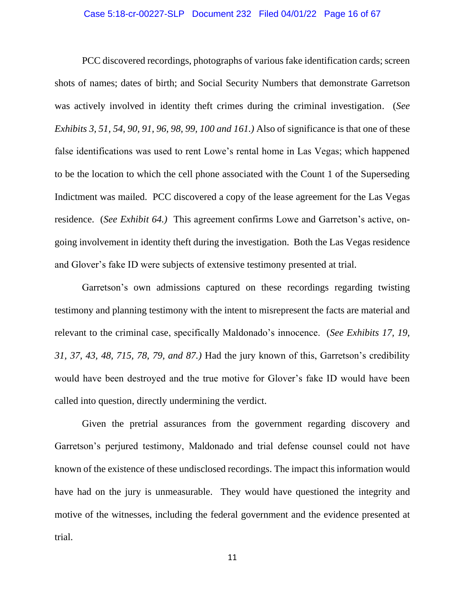#### Case 5:18-cr-00227-SLP Document 232 Filed 04/01/22 Page 16 of 67

PCC discovered recordings, photographs of various fake identification cards; screen shots of names; dates of birth; and Social Security Numbers that demonstrate Garretson was actively involved in identity theft crimes during the criminal investigation. (*See Exhibits 3, 51, 54, 90, 91, 96, 98, 99, 100 and 161.)* Also of significance is that one of these false identifications was used to rent Lowe's rental home in Las Vegas; which happened to be the location to which the cell phone associated with the Count 1 of the Superseding Indictment was mailed. PCC discovered a copy of the lease agreement for the Las Vegas residence. (*See Exhibit 64.)* This agreement confirms Lowe and Garretson's active, ongoing involvement in identity theft during the investigation. Both the Las Vegas residence and Glover's fake ID were subjects of extensive testimony presented at trial.

Garretson's own admissions captured on these recordings regarding twisting testimony and planning testimony with the intent to misrepresent the facts are material and relevant to the criminal case, specifically Maldonado's innocence. (*See Exhibits 17, 19, 31, 37, 43, 48, 715, 78, 79, and 87.)* Had the jury known of this, Garretson's credibility would have been destroyed and the true motive for Glover's fake ID would have been called into question, directly undermining the verdict.

Given the pretrial assurances from the government regarding discovery and Garretson's perjured testimony, Maldonado and trial defense counsel could not have known of the existence of these undisclosed recordings. The impact this information would have had on the jury is unmeasurable. They would have questioned the integrity and motive of the witnesses, including the federal government and the evidence presented at trial.

11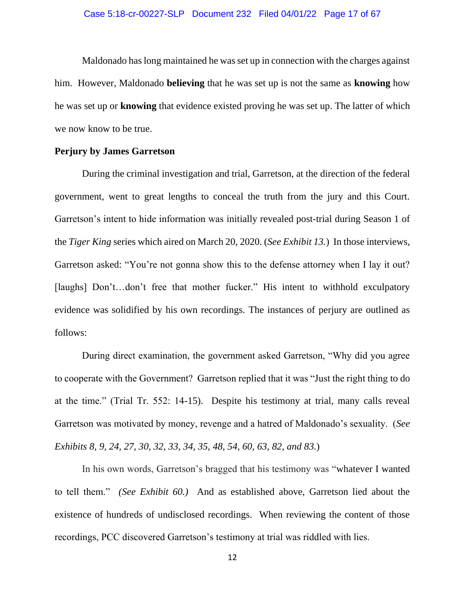#### Case 5:18-cr-00227-SLP Document 232 Filed 04/01/22 Page 17 of 67

Maldonado has long maintained he was set up in connection with the charges against him. However, Maldonado **believing** that he was set up is not the same as **knowing** how he was set up or **knowing** that evidence existed proving he was set up. The latter of which we now know to be true.

## <span id="page-16-0"></span>**Perjury by James Garretson**

During the criminal investigation and trial, Garretson, at the direction of the federal government, went to great lengths to conceal the truth from the jury and this Court. Garretson's intent to hide information was initially revealed post-trial during Season 1 of the *Tiger King* series which aired on March 20, 2020. (*See Exhibit 13.*) In those interviews, Garretson asked: "You're not gonna show this to the defense attorney when I lay it out? [laughs] Don't…don't free that mother fucker." His intent to withhold exculpatory evidence was solidified by his own recordings. The instances of perjury are outlined as follows:

During direct examination, the government asked Garretson, "Why did you agree to cooperate with the Government? Garretson replied that it was "Just the right thing to do at the time." (Trial Tr. 552: 14-15). Despite his testimony at trial, many calls reveal Garretson was motivated by money, revenge and a hatred of Maldonado's sexuality. (*See Exhibits 8, 9, 24, 27, 30, 32, 33, 34, 35, 48, 54, 60, 63, 82, and 83.*)

In his own words, Garretson's bragged that his testimony was "whatever I wanted to tell them." *(See Exhibit 60.)* And as established above, Garretson lied about the existence of hundreds of undisclosed recordings. When reviewing the content of those recordings, PCC discovered Garretson's testimony at trial was riddled with lies.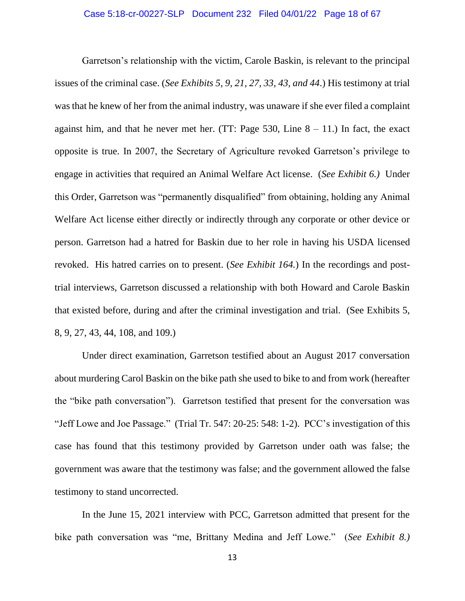## Case 5:18-cr-00227-SLP Document 232 Filed 04/01/22 Page 18 of 67

Garretson's relationship with the victim, Carole Baskin, is relevant to the principal issues of the criminal case. (*See Exhibits 5, 9, 21, 27, 33, 43, and 44*.) His testimony at trial was that he knew of her from the animal industry, was unaware if she ever filed a complaint against him, and that he never met her. (TT: Page 530, Line  $8 - 11$ .) In fact, the exact opposite is true. In 2007, the Secretary of Agriculture revoked Garretson's privilege to engage in activities that required an Animal Welfare Act license. (*See Exhibit 6.)* Under this Order, Garretson was "permanently disqualified" from obtaining, holding any Animal Welfare Act license either directly or indirectly through any corporate or other device or person. Garretson had a hatred for Baskin due to her role in having his USDA licensed revoked. His hatred carries on to present. (*See Exhibit 164.*) In the recordings and posttrial interviews, Garretson discussed a relationship with both Howard and Carole Baskin that existed before, during and after the criminal investigation and trial. (See Exhibits 5, 8, 9, 27, 43, 44, 108, and 109.)

Under direct examination, Garretson testified about an August 2017 conversation about murdering Carol Baskin on the bike path she used to bike to and from work (hereafter the "bike path conversation"). Garretson testified that present for the conversation was "Jeff Lowe and Joe Passage." (Trial Tr. 547: 20-25: 548: 1-2). PCC's investigation of this case has found that this testimony provided by Garretson under oath was false; the government was aware that the testimony was false; and the government allowed the false testimony to stand uncorrected.

In the June 15, 2021 interview with PCC, Garretson admitted that present for the bike path conversation was "me, Brittany Medina and Jeff Lowe." (*See Exhibit 8.)*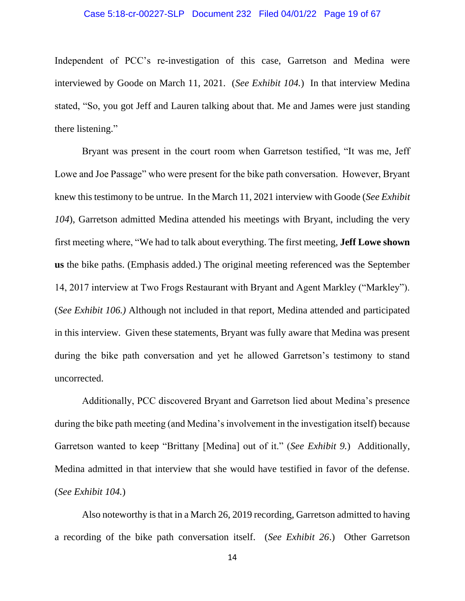#### Case 5:18-cr-00227-SLP Document 232 Filed 04/01/22 Page 19 of 67

Independent of PCC's re-investigation of this case, Garretson and Medina were interviewed by Goode on March 11, 2021. (*See Exhibit 104.*) In that interview Medina stated, "So, you got Jeff and Lauren talking about that. Me and James were just standing there listening."

Bryant was present in the court room when Garretson testified, "It was me, Jeff Lowe and Joe Passage" who were present for the bike path conversation. However, Bryant knew this testimony to be untrue. In the March 11, 2021 interview with Goode (*See Exhibit 104*), Garretson admitted Medina attended his meetings with Bryant, including the very first meeting where, "We had to talk about everything. The first meeting, **Jeff Lowe shown us** the bike paths. (Emphasis added.) The original meeting referenced was the September 14, 2017 interview at Two Frogs Restaurant with Bryant and Agent Markley ("Markley"). (*See Exhibit 106.)* Although not included in that report, Medina attended and participated in this interview. Given these statements, Bryant was fully aware that Medina was present during the bike path conversation and yet he allowed Garretson's testimony to stand uncorrected.

Additionally, PCC discovered Bryant and Garretson lied about Medina's presence during the bike path meeting (and Medina's involvement in the investigation itself) because Garretson wanted to keep "Brittany [Medina] out of it." (*See Exhibit 9.*) Additionally, Medina admitted in that interview that she would have testified in favor of the defense. (*See Exhibit 104.*)

Also noteworthy is that in a March 26, 2019 recording, Garretson admitted to having a recording of the bike path conversation itself. (*See Exhibit 26*.) Other Garretson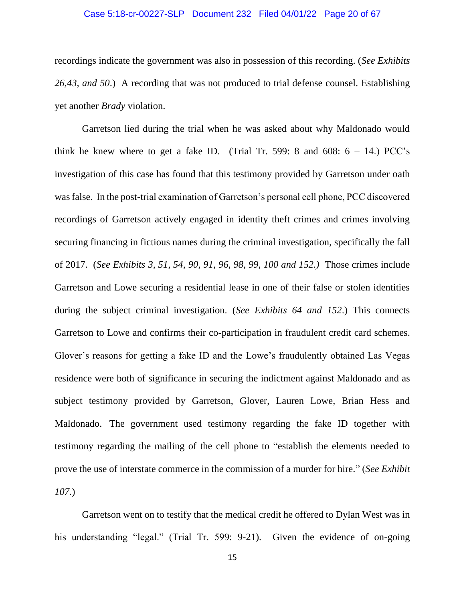## Case 5:18-cr-00227-SLP Document 232 Filed 04/01/22 Page 20 of 67

recordings indicate the government was also in possession of this recording. (*See Exhibits 26,43, and 50*.) A recording that was not produced to trial defense counsel. Establishing yet another *Brady* violation.

Garretson lied during the trial when he was asked about why Maldonado would think he knew where to get a fake ID. (Trial Tr. 599: 8 and 608:  $6 - 14$ .) PCC's investigation of this case has found that this testimony provided by Garretson under oath was false. In the post-trial examination of Garretson's personal cell phone, PCC discovered recordings of Garretson actively engaged in identity theft crimes and crimes involving securing financing in fictious names during the criminal investigation, specifically the fall of 2017. (*See Exhibits 3, 51, 54, 90, 91, 96, 98, 99, 100 and 152.)* Those crimes include Garretson and Lowe securing a residential lease in one of their false or stolen identities during the subject criminal investigation. (*See Exhibits 64 and 152*.) This connects Garretson to Lowe and confirms their co-participation in fraudulent credit card schemes. Glover's reasons for getting a fake ID and the Lowe's fraudulently obtained Las Vegas residence were both of significance in securing the indictment against Maldonado and as subject testimony provided by Garretson, Glover, Lauren Lowe, Brian Hess and Maldonado. The government used testimony regarding the fake ID together with testimony regarding the mailing of the cell phone to "establish the elements needed to prove the use of interstate commerce in the commission of a murder for hire." (*See Exhibit 107.*)

Garretson went on to testify that the medical credit he offered to Dylan West was in his understanding "legal." (Trial Tr. 599: 9-21). Given the evidence of on-going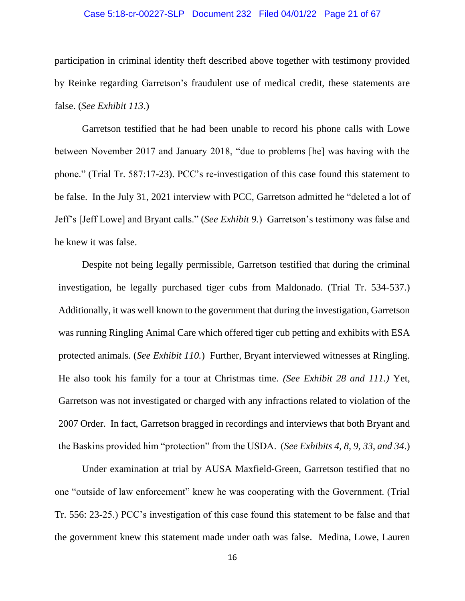## Case 5:18-cr-00227-SLP Document 232 Filed 04/01/22 Page 21 of 67

participation in criminal identity theft described above together with testimony provided by Reinke regarding Garretson's fraudulent use of medical credit, these statements are false. (*See Exhibit 113*.)

Garretson testified that he had been unable to record his phone calls with Lowe between November 2017 and January 2018, "due to problems [he] was having with the phone." (Trial Tr. 587:17-23). PCC's re-investigation of this case found this statement to be false. In the July 31, 2021 interview with PCC, Garretson admitted he "deleted a lot of Jeff's [Jeff Lowe] and Bryant calls." (*See Exhibit 9.*) Garretson's testimony was false and he knew it was false.

Despite not being legally permissible, Garretson testified that during the criminal investigation, he legally purchased tiger cubs from Maldonado. (Trial Tr. 534-537.) Additionally, it was well known to the government that during the investigation, Garretson was running Ringling Animal Care which offered tiger cub petting and exhibits with ESA protected animals. (*See Exhibit 110.*) Further, Bryant interviewed witnesses at Ringling. He also took his family for a tour at Christmas time. *(See Exhibit 28 and 111.)* Yet, Garretson was not investigated or charged with any infractions related to violation of the 2007 Order. In fact, Garretson bragged in recordings and interviews that both Bryant and the Baskins provided him "protection" from the USDA. (*See Exhibits 4, 8, 9, 33, and 34*.)

Under examination at trial by AUSA Maxfield-Green, Garretson testified that no one "outside of law enforcement" knew he was cooperating with the Government. (Trial Tr. 556: 23-25.) PCC's investigation of this case found this statement to be false and that the government knew this statement made under oath was false. Medina, Lowe, Lauren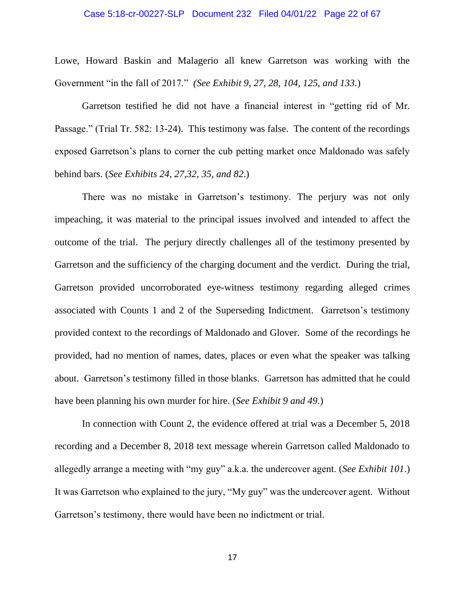#### Case 5:18-cr-00227-SLP Document 232 Filed 04/01/22 Page 22 of 67

Lowe, Howard Baskin and Malagerio all knew Garretson was working with the Government "in the fall of 2017." *(See Exhibit 9, 27, 28, 104, 125, and 133.*)

Garretson testified he did not have a financial interest in "getting rid of Mr. Passage." (Trial Tr. 582: 13-24). This testimony was false. The content of the recordings exposed Garretson's plans to corner the cub petting market once Maldonado was safely behind bars. (*See Exhibits 24, 27,32, 35, and 82*.)

There was no mistake in Garretson's testimony. The perjury was not only impeaching, it was material to the principal issues involved and intended to affect the outcome of the trial. The perjury directly challenges all of the testimony presented by Garretson and the sufficiency of the charging document and the verdict. During the trial, Garretson provided uncorroborated eye-witness testimony regarding alleged crimes associated with Counts 1 and 2 of the Superseding Indictment. Garretson's testimony provided context to the recordings of Maldonado and Glover. Some of the recordings he provided, had no mention of names, dates, places or even what the speaker was talking about. Garretson's testimony filled in those blanks. Garretson has admitted that he could have been planning his own murder for hire. (*See Exhibit 9 and 49.*)

In connection with Count 2, the evidence offered at trial was a December 5, 2018 recording and a December 8, 2018 text message wherein Garretson called Maldonado to allegedly arrange a meeting with "my guy" a.k.a. the undercover agent. (*See Exhibit 101*.) It was Garretson who explained to the jury, "My guy" was the undercover agent. Without Garretson's testimony, there would have been no indictment or trial.

17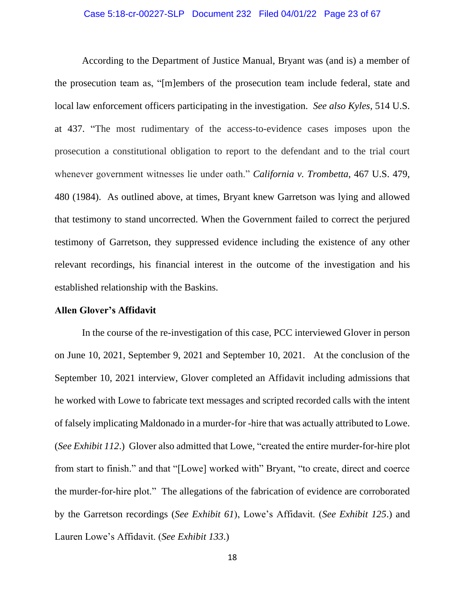#### Case 5:18-cr-00227-SLP Document 232 Filed 04/01/22 Page 23 of 67

According to the Department of Justice Manual, Bryant was (and is) a member of the prosecution team as, "[m]embers of the prosecution team include federal, state and local law enforcement officers participating in the investigation. *See also Kyles*, 514 U.S. at 437. "The most rudimentary of the access-to-evidence cases imposes upon the prosecution a constitutional obligation to report to the defendant and to the trial court whenever government witnesses lie under oath." *California v. Trombetta*, 467 U.S. 479, 480 (1984). As outlined above, at times, Bryant knew Garretson was lying and allowed that testimony to stand uncorrected. When the Government failed to correct the perjured testimony of Garretson, they suppressed evidence including the existence of any other relevant recordings, his financial interest in the outcome of the investigation and his established relationship with the Baskins.

#### <span id="page-22-0"></span>**Allen Glover's Affidavit**

In the course of the re-investigation of this case, PCC interviewed Glover in person on June 10, 2021, September 9, 2021 and September 10, 2021. At the conclusion of the September 10, 2021 interview, Glover completed an Affidavit including admissions that he worked with Lowe to fabricate text messages and scripted recorded calls with the intent of falsely implicating Maldonado in a murder-for -hire that was actually attributed to Lowe. (*See Exhibit 112*.) Glover also admitted that Lowe, "created the entire murder-for-hire plot from start to finish." and that "[Lowe] worked with" Bryant, "to create, direct and coerce the murder-for-hire plot." The allegations of the fabrication of evidence are corroborated by the Garretson recordings (*See Exhibit 61*), Lowe's Affidavit. (*See Exhibit 125*.) and Lauren Lowe's Affidavit. (*See Exhibit 133*.)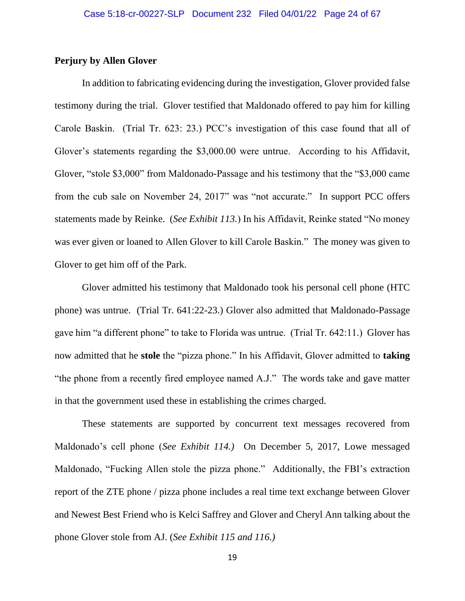# <span id="page-23-0"></span>**Perjury by Allen Glover**

In addition to fabricating evidencing during the investigation, Glover provided false testimony during the trial. Glover testified that Maldonado offered to pay him for killing Carole Baskin. (Trial Tr. 623: 23.) PCC's investigation of this case found that all of Glover's statements regarding the \$3,000.00 were untrue. According to his Affidavit, Glover, "stole \$3,000" from Maldonado-Passage and his testimony that the "\$3,000 came from the cub sale on November 24, 2017" was "not accurate." In support PCC offers statements made by Reinke. (*See Exhibit 113.*) In his Affidavit, Reinke stated "No money was ever given or loaned to Allen Glover to kill Carole Baskin." The money was given to Glover to get him off of the Park.

Glover admitted his testimony that Maldonado took his personal cell phone (HTC phone) was untrue. (Trial Tr. 641:22-23.) Glover also admitted that Maldonado-Passage gave him "a different phone" to take to Florida was untrue. (Trial Tr. 642:11.) Glover has now admitted that he **stole** the "pizza phone." In his Affidavit, Glover admitted to **taking** "the phone from a recently fired employee named A.J." The words take and gave matter in that the government used these in establishing the crimes charged.

These statements are supported by concurrent text messages recovered from Maldonado's cell phone (*See Exhibit 114.)* On December 5, 2017, Lowe messaged Maldonado, "Fucking Allen stole the pizza phone." Additionally, the FBI's extraction report of the ZTE phone / pizza phone includes a real time text exchange between Glover and Newest Best Friend who is Kelci Saffrey and Glover and Cheryl Ann talking about the phone Glover stole from AJ. (*See Exhibit 115 and 116.)*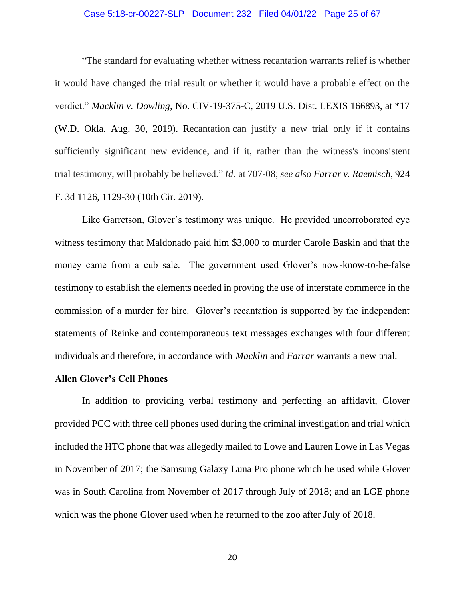# Case 5:18-cr-00227-SLP Document 232 Filed 04/01/22 Page 25 of 67

"The standard for evaluating whether witness recantation warrants relief is whether it would have changed the trial result or whether it would have a probable effect on the verdict." *Macklin v. Dowling*, No. CIV-19-375-C, 2019 U.S. Dist. LEXIS 166893, at \*17 (W.D. Okla. Aug. 30, 2019). Recantation can justify a new trial only if it contains sufficiently significant new evidence, and if it, rather than the witness's inconsistent trial testimony, will probably be believed." *Id.* at 707-08; *see also Farrar v. Raemisch*, 924 F. 3d 1126, 1129-30 (10th Cir. 2019).

Like Garretson, Glover's testimony was unique. He provided uncorroborated eye witness testimony that Maldonado paid him \$3,000 to murder Carole Baskin and that the money came from a cub sale. The government used Glover's now-know-to-be-false testimony to establish the elements needed in proving the use of interstate commerce in the commission of a murder for hire. Glover's recantation is supported by the independent statements of Reinke and contemporaneous text messages exchanges with four different individuals and therefore, in accordance with *Macklin* and *Farrar* warrants a new trial.

#### <span id="page-24-0"></span>**Allen Glover's Cell Phones**

In addition to providing verbal testimony and perfecting an affidavit, Glover provided PCC with three cell phones used during the criminal investigation and trial which included the HTC phone that was allegedly mailed to Lowe and Lauren Lowe in Las Vegas in November of 2017; the Samsung Galaxy Luna Pro phone which he used while Glover was in South Carolina from November of 2017 through July of 2018; and an LGE phone which was the phone Glover used when he returned to the zoo after July of 2018.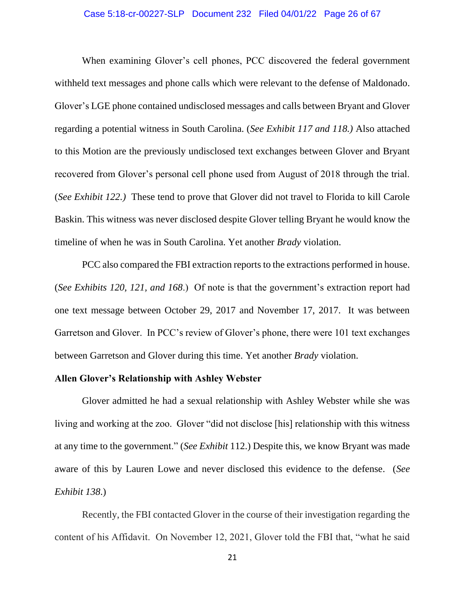#### Case 5:18-cr-00227-SLP Document 232 Filed 04/01/22 Page 26 of 67

When examining Glover's cell phones, PCC discovered the federal government withheld text messages and phone calls which were relevant to the defense of Maldonado. Glover's LGE phone contained undisclosed messages and calls between Bryant and Glover regarding a potential witness in South Carolina. (*See Exhibit 117 and 118.)* Also attached to this Motion are the previously undisclosed text exchanges between Glover and Bryant recovered from Glover's personal cell phone used from August of 2018 through the trial. (*See Exhibit 122.)* These tend to prove that Glover did not travel to Florida to kill Carole Baskin. This witness was never disclosed despite Glover telling Bryant he would know the timeline of when he was in South Carolina. Yet another *Brady* violation.

PCC also compared the FBI extraction reports to the extractions performed in house. (*See Exhibits 120, 121, and 168*.) Of note is that the government's extraction report had one text message between October 29, 2017 and November 17, 2017. It was between Garretson and Glover. In PCC's review of Glover's phone, there were 101 text exchanges between Garretson and Glover during this time. Yet another *Brady* violation.

#### <span id="page-25-0"></span>**Allen Glover's Relationship with Ashley Webster**

Glover admitted he had a sexual relationship with Ashley Webster while she was living and working at the zoo. Glover "did not disclose [his] relationship with this witness at any time to the government." (*See Exhibit* 112.) Despite this, we know Bryant was made aware of this by Lauren Lowe and never disclosed this evidence to the defense. (*See Exhibit 138*.)

Recently, the FBI contacted Glover in the course of their investigation regarding the content of his Affidavit. On November 12, 2021, Glover told the FBI that, "what he said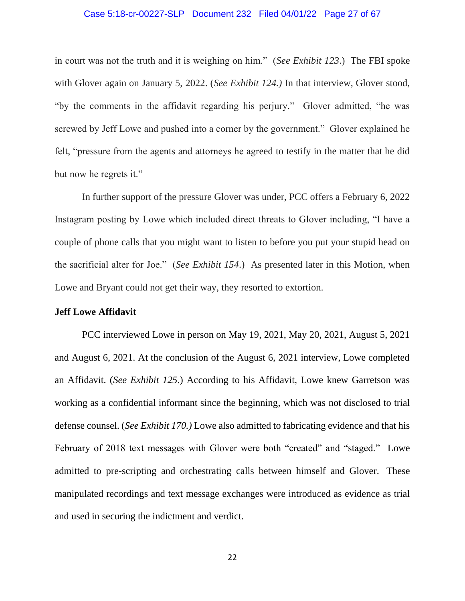#### Case 5:18-cr-00227-SLP Document 232 Filed 04/01/22 Page 27 of 67

in court was not the truth and it is weighing on him." (*See Exhibit 123*.) The FBI spoke with Glover again on January 5, 2022. (*See Exhibit 124.)* In that interview, Glover stood, "by the comments in the affidavit regarding his perjury." Glover admitted, "he was screwed by Jeff Lowe and pushed into a corner by the government." Glover explained he felt, "pressure from the agents and attorneys he agreed to testify in the matter that he did but now he regrets it."

In further support of the pressure Glover was under, PCC offers a February 6, 2022 Instagram posting by Lowe which included direct threats to Glover including, "I have a couple of phone calls that you might want to listen to before you put your stupid head on the sacrificial alter for Joe." (*See Exhibit 154*.) As presented later in this Motion, when Lowe and Bryant could not get their way, they resorted to extortion.

#### <span id="page-26-0"></span>**Jeff Lowe Affidavit**

PCC interviewed Lowe in person on May 19, 2021, May 20, 2021, August 5, 2021 and August 6, 2021. At the conclusion of the August 6, 2021 interview, Lowe completed an Affidavit. (*See Exhibit 125*.) According to his Affidavit, Lowe knew Garretson was working as a confidential informant since the beginning, which was not disclosed to trial defense counsel. (*See Exhibit 170.)* Lowe also admitted to fabricating evidence and that his February of 2018 text messages with Glover were both "created" and "staged." Lowe admitted to pre-scripting and orchestrating calls between himself and Glover. These manipulated recordings and text message exchanges were introduced as evidence as trial and used in securing the indictment and verdict.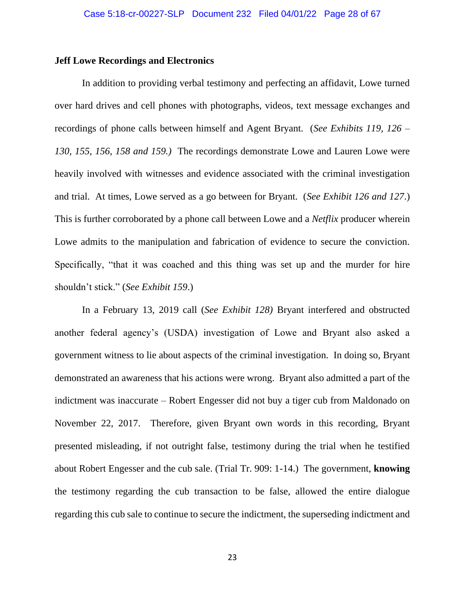## <span id="page-27-0"></span>**Jeff Lowe Recordings and Electronics**

In addition to providing verbal testimony and perfecting an affidavit, Lowe turned over hard drives and cell phones with photographs, videos, text message exchanges and recordings of phone calls between himself and Agent Bryant. (*See Exhibits 119, 126 – 130, 155, 156, 158 and 159.)* The recordings demonstrate Lowe and Lauren Lowe were heavily involved with witnesses and evidence associated with the criminal investigation and trial. At times, Lowe served as a go between for Bryant. (*See Exhibit 126 and 127*.) This is further corroborated by a phone call between Lowe and a *Netflix* producer wherein Lowe admits to the manipulation and fabrication of evidence to secure the conviction. Specifically, "that it was coached and this thing was set up and the murder for hire shouldn't stick." (*See Exhibit 159*.)

In a February 13, 2019 call (*See Exhibit 128)* Bryant interfered and obstructed another federal agency's (USDA) investigation of Lowe and Bryant also asked a government witness to lie about aspects of the criminal investigation. In doing so, Bryant demonstrated an awareness that his actions were wrong. Bryant also admitted a part of the indictment was inaccurate – Robert Engesser did not buy a tiger cub from Maldonado on November 22, 2017. Therefore, given Bryant own words in this recording, Bryant presented misleading, if not outright false, testimony during the trial when he testified about Robert Engesser and the cub sale. (Trial Tr. 909: 1-14.) The government, **knowing**  the testimony regarding the cub transaction to be false, allowed the entire dialogue regarding this cub sale to continue to secure the indictment, the superseding indictment and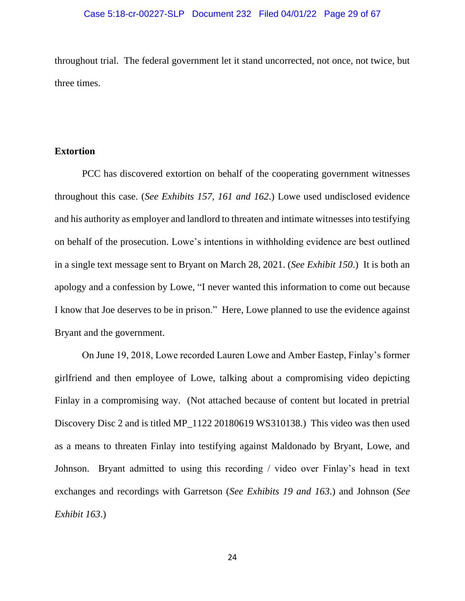throughout trial. The federal government let it stand uncorrected, not once, not twice, but three times.

# <span id="page-28-0"></span>**Extortion**

PCC has discovered extortion on behalf of the cooperating government witnesses throughout this case. (*See Exhibits 157, 161 and 162*.) Lowe used undisclosed evidence and his authority as employer and landlord to threaten and intimate witnesses into testifying on behalf of the prosecution. Lowe's intentions in withholding evidence are best outlined in a single text message sent to Bryant on March 28, 2021. (*See Exhibit 150*.) It is both an apology and a confession by Lowe, "I never wanted this information to come out because I know that Joe deserves to be in prison." Here, Lowe planned to use the evidence against Bryant and the government.

On June 19, 2018, Lowe recorded Lauren Lowe and Amber Eastep, Finlay's former girlfriend and then employee of Lowe, talking about a compromising video depicting Finlay in a compromising way. (Not attached because of content but located in pretrial Discovery Disc 2 and is titled MP\_1122 20180619 WS310138.) This video was then used as a means to threaten Finlay into testifying against Maldonado by Bryant, Lowe, and Johnson. Bryant admitted to using this recording / video over Finlay's head in text exchanges and recordings with Garretson (*See Exhibits 19 and 163*.) and Johnson (*See Exhibit 163*.)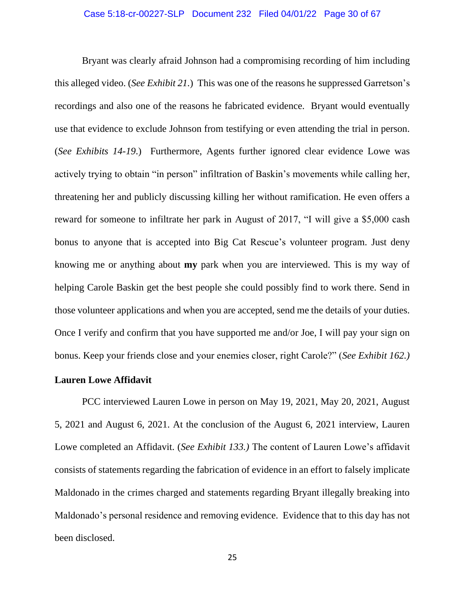Bryant was clearly afraid Johnson had a compromising recording of him including this alleged video. (*See Exhibit 21.*) This was one of the reasons he suppressed Garretson's recordings and also one of the reasons he fabricated evidence. Bryant would eventually use that evidence to exclude Johnson from testifying or even attending the trial in person. (*See Exhibits 14-19*.) Furthermore, Agents further ignored clear evidence Lowe was actively trying to obtain "in person" infiltration of Baskin's movements while calling her, threatening her and publicly discussing killing her without ramification. He even offers a reward for someone to infiltrate her park in August of 2017, "I will give a \$5,000 cash bonus to anyone that is accepted into Big Cat Rescue's volunteer program. Just deny knowing me or anything about **my** park when you are interviewed. This is my way of helping Carole Baskin get the best people she could possibly find to work there. Send in those volunteer applications and when you are accepted, send me the details of your duties. Once I verify and confirm that you have supported me and/or Joe, I will pay your sign on bonus. Keep your friends close and your enemies closer, right Carole?" (*See Exhibit 162.)*

# <span id="page-29-0"></span>**Lauren Lowe Affidavit**

PCC interviewed Lauren Lowe in person on May 19, 2021, May 20, 2021, August 5, 2021 and August 6, 2021. At the conclusion of the August 6, 2021 interview, Lauren Lowe completed an Affidavit. (*See Exhibit 133.)* The content of Lauren Lowe's affidavit consists of statements regarding the fabrication of evidence in an effort to falsely implicate Maldonado in the crimes charged and statements regarding Bryant illegally breaking into Maldonado's personal residence and removing evidence. Evidence that to this day has not been disclosed.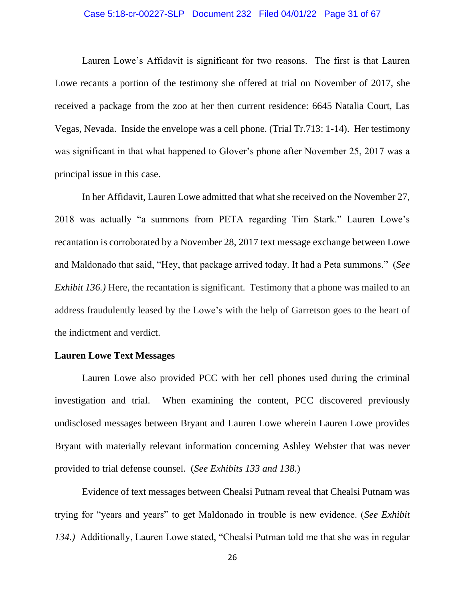## Case 5:18-cr-00227-SLP Document 232 Filed 04/01/22 Page 31 of 67

Lauren Lowe's Affidavit is significant for two reasons. The first is that Lauren Lowe recants a portion of the testimony she offered at trial on November of 2017, she received a package from the zoo at her then current residence: 6645 Natalia Court, Las Vegas, Nevada. Inside the envelope was a cell phone. (Trial Tr.713: 1-14). Her testimony was significant in that what happened to Glover's phone after November 25, 2017 was a principal issue in this case.

In her Affidavit, Lauren Lowe admitted that what she received on the November 27, 2018 was actually "a summons from PETA regarding Tim Stark." Lauren Lowe's recantation is corroborated by a November 28, 2017 text message exchange between Lowe and Maldonado that said, "Hey, that package arrived today. It had a Peta summons." (*See Exhibit 136.*) Here, the recantation is significant. Testimony that a phone was mailed to an address fraudulently leased by the Lowe's with the help of Garretson goes to the heart of the indictment and verdict.

#### <span id="page-30-0"></span>**Lauren Lowe Text Messages**

Lauren Lowe also provided PCC with her cell phones used during the criminal investigation and trial. When examining the content, PCC discovered previously undisclosed messages between Bryant and Lauren Lowe wherein Lauren Lowe provides Bryant with materially relevant information concerning Ashley Webster that was never provided to trial defense counsel. (*See Exhibits 133 and 138*.)

Evidence of text messages between Chealsi Putnam reveal that Chealsi Putnam was trying for "years and years" to get Maldonado in trouble is new evidence. (*See Exhibit 134.)* Additionally, Lauren Lowe stated, "Chealsi Putman told me that she was in regular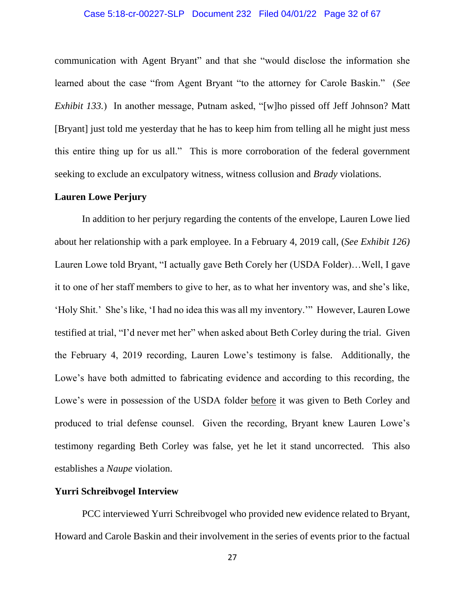## Case 5:18-cr-00227-SLP Document 232 Filed 04/01/22 Page 32 of 67

communication with Agent Bryant" and that she "would disclose the information she learned about the case "from Agent Bryant "to the attorney for Carole Baskin." (*See Exhibit 133.*) In another message, Putnam asked, "[w]ho pissed off Jeff Johnson? Matt [Bryant] just told me yesterday that he has to keep him from telling all he might just mess this entire thing up for us all." This is more corroboration of the federal government seeking to exclude an exculpatory witness, witness collusion and *Brady* violations.

## <span id="page-31-0"></span>**Lauren Lowe Perjury**

In addition to her perjury regarding the contents of the envelope, Lauren Lowe lied about her relationship with a park employee. In a February 4, 2019 call, (*See Exhibit 126)*  Lauren Lowe told Bryant, "I actually gave Beth Corely her (USDA Folder)…Well, I gave it to one of her staff members to give to her, as to what her inventory was, and she's like, 'Holy Shit.' She's like, 'I had no idea this was all my inventory.'" However, Lauren Lowe testified at trial, "I'd never met her" when asked about Beth Corley during the trial. Given the February 4, 2019 recording, Lauren Lowe's testimony is false. Additionally, the Lowe's have both admitted to fabricating evidence and according to this recording, the Lowe's were in possession of the USDA folder before it was given to Beth Corley and produced to trial defense counsel. Given the recording, Bryant knew Lauren Lowe's testimony regarding Beth Corley was false, yet he let it stand uncorrected. This also establishes a *Naupe* violation.

# <span id="page-31-1"></span>**Yurri Schreibvogel Interview**

PCC interviewed Yurri Schreibvogel who provided new evidence related to Bryant, Howard and Carole Baskin and their involvement in the series of events prior to the factual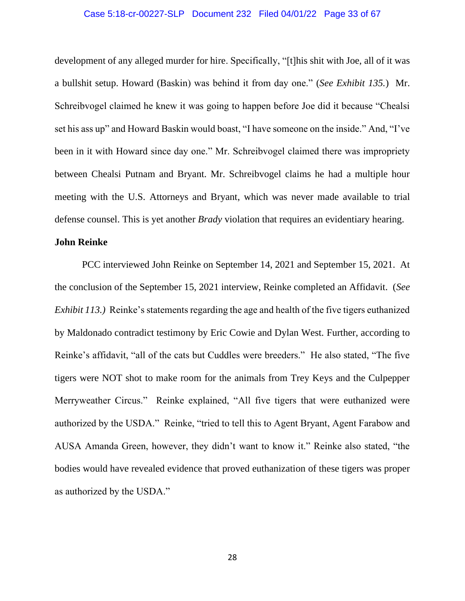#### Case 5:18-cr-00227-SLP Document 232 Filed 04/01/22 Page 33 of 67

development of any alleged murder for hire. Specifically, "[t]his shit with Joe, all of it was a bullshit setup. Howard (Baskin) was behind it from day one." (*See Exhibit 135.*) Mr. Schreibvogel claimed he knew it was going to happen before Joe did it because "Chealsi set his ass up" and Howard Baskin would boast, "I have someone on the inside." And, "I've been in it with Howard since day one." Mr. Schreibvogel claimed there was impropriety between Chealsi Putnam and Bryant. Mr. Schreibvogel claims he had a multiple hour meeting with the U.S. Attorneys and Bryant, which was never made available to trial defense counsel. This is yet another *Brady* violation that requires an evidentiary hearing.

# <span id="page-32-0"></span>**John Reinke**

PCC interviewed John Reinke on September 14, 2021 and September 15, 2021. At the conclusion of the September 15, 2021 interview, Reinke completed an Affidavit. (*See Exhibit 113.)* Reinke's statements regarding the age and health of the five tigers euthanized by Maldonado contradict testimony by Eric Cowie and Dylan West. Further, according to Reinke's affidavit, "all of the cats but Cuddles were breeders." He also stated, "The five tigers were NOT shot to make room for the animals from Trey Keys and the Culpepper Merryweather Circus." Reinke explained, "All five tigers that were euthanized were authorized by the USDA." Reinke, "tried to tell this to Agent Bryant, Agent Farabow and AUSA Amanda Green, however, they didn't want to know it." Reinke also stated, "the bodies would have revealed evidence that proved euthanization of these tigers was proper as authorized by the USDA."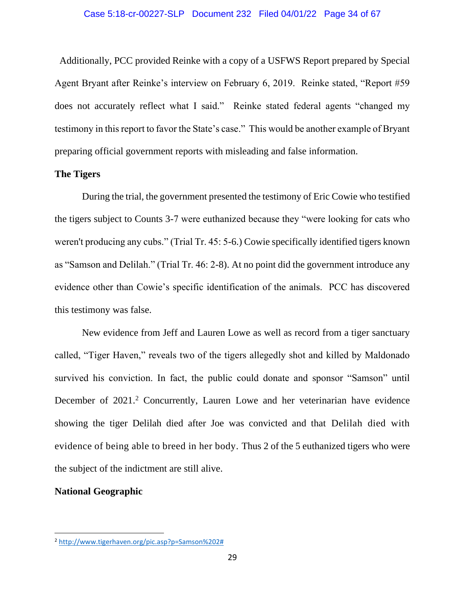Additionally, PCC provided Reinke with a copy of a USFWS Report prepared by Special Agent Bryant after Reinke's interview on February 6, 2019. Reinke stated, "Report #59 does not accurately reflect what I said." Reinke stated federal agents "changed my testimony in this report to favor the State's case." This would be another example of Bryant preparing official government reports with misleading and false information.

# <span id="page-33-0"></span>**The Tigers**

During the trial, the government presented the testimony of Eric Cowie who testified the tigers subject to Counts 3-7 were euthanized because they "were looking for cats who weren't producing any cubs." (Trial Tr. 45: 5-6.) Cowie specifically identified tigers known as "Samson and Delilah." (Trial Tr. 46: 2-8). At no point did the government introduce any evidence other than Cowie's specific identification of the animals. PCC has discovered this testimony was false.

New evidence from Jeff and Lauren Lowe as well as record from a tiger sanctuary called, "Tiger Haven," reveals two of the tigers allegedly shot and killed by Maldonado survived his conviction. In fact, the public could donate and sponsor "Samson" until December of 2021.<sup>2</sup> Concurrently, Lauren Lowe and her veterinarian have evidence showing the tiger Delilah died after Joe was convicted and that Delilah died with evidence of being able to breed in her body. Thus 2 of the 5 euthanized tigers who were the subject of the indictment are still alive.

#### <span id="page-33-1"></span>**National Geographic**

<sup>2</sup> [http://www.tigerhaven.org/pic.asp?p=Samson%202#](http://www.tigerhaven.org/pic.asp?p=Samson%202)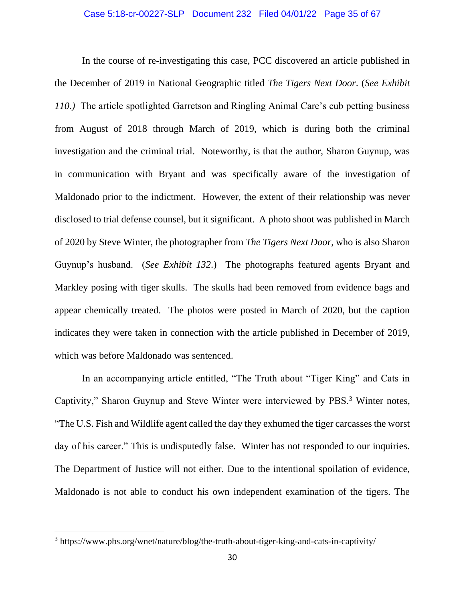#### Case 5:18-cr-00227-SLP Document 232 Filed 04/01/22 Page 35 of 67

In the course of re-investigating this case, PCC discovered an article published in the December of 2019 in National Geographic titled *The Tigers Next Door*. (*See Exhibit 110.)* The article spotlighted Garretson and Ringling Animal Care's cub petting business from August of 2018 through March of 2019, which is during both the criminal investigation and the criminal trial. Noteworthy, is that the author, Sharon Guynup, was in communication with Bryant and was specifically aware of the investigation of Maldonado prior to the indictment. However, the extent of their relationship was never disclosed to trial defense counsel, but it significant. A photo shoot was published in March of 2020 by Steve Winter, the photographer from *The Tigers Next Door*, who is also Sharon Guynup's husband. (*See Exhibit 132*.) The photographs featured agents Bryant and Markley posing with tiger skulls. The skulls had been removed from evidence bags and appear chemically treated. The photos were posted in March of 2020, but the caption indicates they were taken in connection with the article published in December of 2019, which was before Maldonado was sentenced.

In an accompanying article entitled, "The Truth about "Tiger King" and Cats in Captivity," Sharon Guynup and Steve Winter were interviewed by PBS.<sup>3</sup> Winter notes, "The U.S. Fish and Wildlife agent called the day they exhumed the tiger carcasses the worst day of his career." This is undisputedly false. Winter has not responded to our inquiries. The Department of Justice will not either. Due to the intentional spoilation of evidence, Maldonado is not able to conduct his own independent examination of the tigers. The

<sup>&</sup>lt;sup>3</sup> https://www.pbs.org/wnet/nature/blog/the-truth-about-tiger-king-and-cats-in-captivity/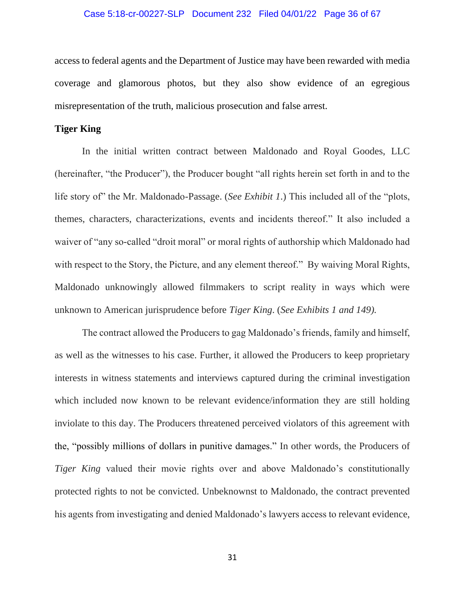#### Case 5:18-cr-00227-SLP Document 232 Filed 04/01/22 Page 36 of 67

access to federal agents and the Department of Justice may have been rewarded with media coverage and glamorous photos, but they also show evidence of an egregious misrepresentation of the truth, malicious prosecution and false arrest.

#### <span id="page-35-0"></span>**Tiger King**

In the initial written contract between Maldonado and Royal Goodes, LLC (hereinafter, "the Producer"), the Producer bought "all rights herein set forth in and to the life story of" the Mr. Maldonado-Passage. (*See Exhibit 1*.) This included all of the "plots, themes, characters, characterizations, events and incidents thereof." It also included a waiver of "any so-called "droit moral" or moral rights of authorship which Maldonado had with respect to the Story, the Picture, and any element thereof." By waiving Moral Rights, Maldonado unknowingly allowed filmmakers to script reality in ways which were unknown to American jurisprudence before *Tiger King*. (*See Exhibits 1 and 149).* 

The contract allowed the Producers to gag Maldonado's friends, family and himself, as well as the witnesses to his case. Further, it allowed the Producers to keep proprietary interests in witness statements and interviews captured during the criminal investigation which included now known to be relevant evidence/information they are still holding inviolate to this day. The Producers threatened perceived violators of this agreement with the, "possibly millions of dollars in punitive damages." In other words, the Producers of *Tiger King* valued their movie rights over and above Maldonado's constitutionally protected rights to not be convicted. Unbeknownst to Maldonado, the contract prevented his agents from investigating and denied Maldonado's lawyers access to relevant evidence,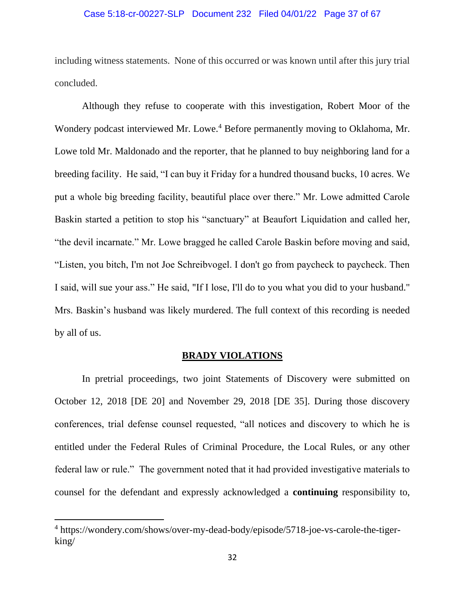## Case 5:18-cr-00227-SLP Document 232 Filed 04/01/22 Page 37 of 67

including witness statements. None of this occurred or was known until after this jury trial concluded.

Although they refuse to cooperate with this investigation, Robert Moor of the Wondery podcast interviewed Mr. Lowe.<sup>4</sup> Before permanently moving to Oklahoma, Mr. Lowe told Mr. Maldonado and the reporter, that he planned to buy neighboring land for a breeding facility. He said, "I can buy it Friday for a hundred thousand bucks, 10 acres. We put a whole big breeding facility, beautiful place over there." Mr. Lowe admitted Carole Baskin started a petition to stop his "sanctuary" at Beaufort Liquidation and called her, "the devil incarnate." Mr. Lowe bragged he called Carole Baskin before moving and said, "Listen, you bitch, I'm not Joe Schreibvogel. I don't go from paycheck to paycheck. Then I said, will sue your ass." He said, "If I lose, I'll do to you what you did to your husband." Mrs. Baskin's husband was likely murdered. The full context of this recording is needed by all of us.

## **BRADY VIOLATIONS**

<span id="page-36-0"></span>In pretrial proceedings, two joint Statements of Discovery were submitted on October 12, 2018 [DE 20] and November 29, 2018 [DE 35]. During those discovery conferences, trial defense counsel requested, "all notices and discovery to which he is entitled under the Federal Rules of Criminal Procedure, the Local Rules, or any other federal law or rule." The government noted that it had provided investigative materials to counsel for the defendant and expressly acknowledged a **continuing** responsibility to,

<sup>4</sup> https://wondery.com/shows/over-my-dead-body/episode/5718-joe-vs-carole-the-tigerking/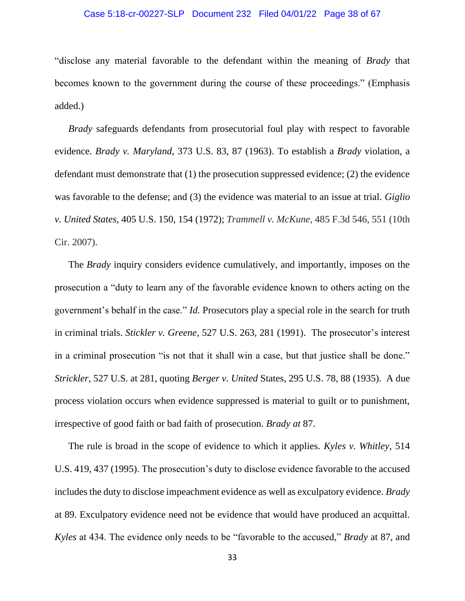## Case 5:18-cr-00227-SLP Document 232 Filed 04/01/22 Page 38 of 67

"disclose any material favorable to the defendant within the meaning of *Brady* that becomes known to the government during the course of these proceedings." (Emphasis added.)

*Brady* safeguards defendants from prosecutorial foul play with respect to favorable evidence. *Brady v. Maryland*, 373 U.S. 83, 87 (1963). To establish a *Brady* violation, a defendant must demonstrate that (1) the prosecution suppressed evidence; (2) the evidence was favorable to the defense; and (3) the evidence was material to an issue at trial. *Giglio v. United States*, 405 U.S. 150, 154 (1972); *Trammell v. McKune*, 485 F.3d 546, 551 (10th Cir. 2007).

The *Brady* inquiry considers evidence cumulatively, and importantly, imposes on the prosecution a "duty to learn any of the favorable evidence known to others acting on the government's behalf in the case." *Id.* Prosecutors play a special role in the search for truth in criminal trials. *Stickler v. Greene*, 527 U.S. 263, 281 (1991). The prosecutor's interest in a criminal prosecution "is not that it shall win a case, but that justice shall be done." *Strickler,* 527 U.S. at 281, quoting *Berger v. United* States, 295 U.S. 78, 88 (1935). A due process violation occurs when evidence suppressed is material to guilt or to punishment, irrespective of good faith or bad faith of prosecution. *Brady at* 87.

The rule is broad in the scope of evidence to which it applies. *Kyles v. Whitley*, 514 U.S. 419, 437 (1995). The prosecution's duty to disclose evidence favorable to the accused includes the duty to disclose impeachment evidence as well as exculpatory evidence. *Brady*  at 89. Exculpatory evidence need not be evidence that would have produced an acquittal. *Kyles* at 434. The evidence only needs to be "favorable to the accused," *Brady* at 87, and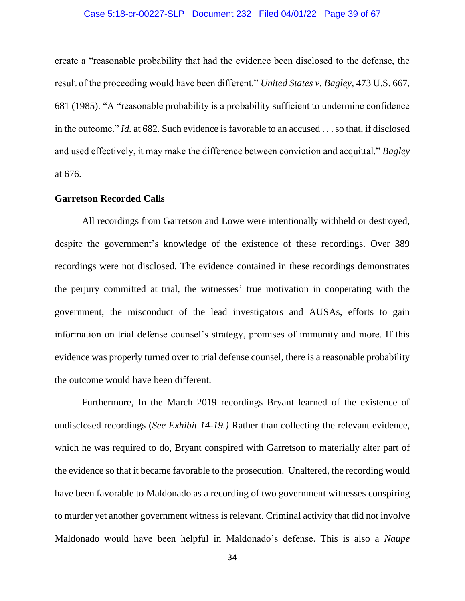#### Case 5:18-cr-00227-SLP Document 232 Filed 04/01/22 Page 39 of 67

create a "reasonable probability that had the evidence been disclosed to the defense, the result of the proceeding would have been different." *United States v. Bagley*, 473 U.S. 667, 681 (1985). "A "reasonable probability is a probability sufficient to undermine confidence in the outcome." *Id.* at 682. Such evidence is favorable to an accused . . . so that, if disclosed and used effectively, it may make the difference between conviction and acquittal." *Bagley* at 676.

#### <span id="page-38-0"></span>**Garretson Recorded Calls**

All recordings from Garretson and Lowe were intentionally withheld or destroyed, despite the government's knowledge of the existence of these recordings. Over 389 recordings were not disclosed. The evidence contained in these recordings demonstrates the perjury committed at trial, the witnesses' true motivation in cooperating with the government, the misconduct of the lead investigators and AUSAs, efforts to gain information on trial defense counsel's strategy, promises of immunity and more. If this evidence was properly turned over to trial defense counsel, there is a reasonable probability the outcome would have been different.

Furthermore, In the March 2019 recordings Bryant learned of the existence of undisclosed recordings (*See Exhibit 14-19.)* Rather than collecting the relevant evidence, which he was required to do, Bryant conspired with Garretson to materially alter part of the evidence so that it became favorable to the prosecution. Unaltered, the recording would have been favorable to Maldonado as a recording of two government witnesses conspiring to murder yet another government witness is relevant. Criminal activity that did not involve Maldonado would have been helpful in Maldonado's defense. This is also a *Naupe*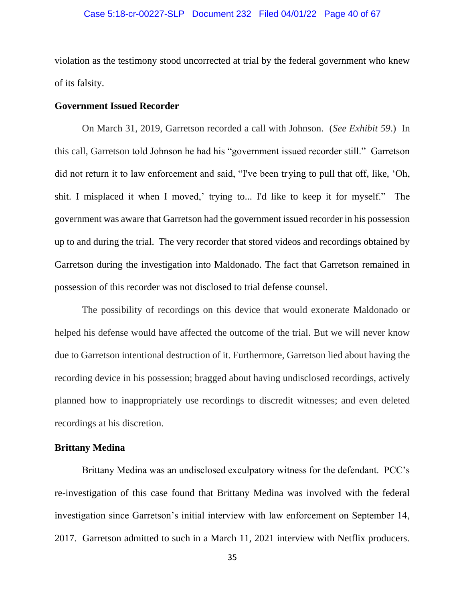#### Case 5:18-cr-00227-SLP Document 232 Filed 04/01/22 Page 40 of 67

violation as the testimony stood uncorrected at trial by the federal government who knew of its falsity.

# <span id="page-39-0"></span>**Government Issued Recorder**

On March 31, 2019, Garretson recorded a call with Johnson. (*See Exhibit 59*.) In this call, Garretson told Johnson he had his "government issued recorder still." Garretson did not return it to law enforcement and said, "I've been trying to pull that off, like, 'Oh, shit. I misplaced it when I moved,' trying to... I'd like to keep it for myself." The government was aware that Garretson had the government issued recorder in his possession up to and during the trial. The very recorder that stored videos and recordings obtained by Garretson during the investigation into Maldonado. The fact that Garretson remained in possession of this recorder was not disclosed to trial defense counsel.

The possibility of recordings on this device that would exonerate Maldonado or helped his defense would have affected the outcome of the trial. But we will never know due to Garretson intentional destruction of it. Furthermore, Garretson lied about having the recording device in his possession; bragged about having undisclosed recordings, actively planned how to inappropriately use recordings to discredit witnesses; and even deleted recordings at his discretion.

# <span id="page-39-1"></span>**Brittany Medina**

Brittany Medina was an undisclosed exculpatory witness for the defendant. PCC's re-investigation of this case found that Brittany Medina was involved with the federal investigation since Garretson's initial interview with law enforcement on September 14, 2017. Garretson admitted to such in a March 11, 2021 interview with Netflix producers.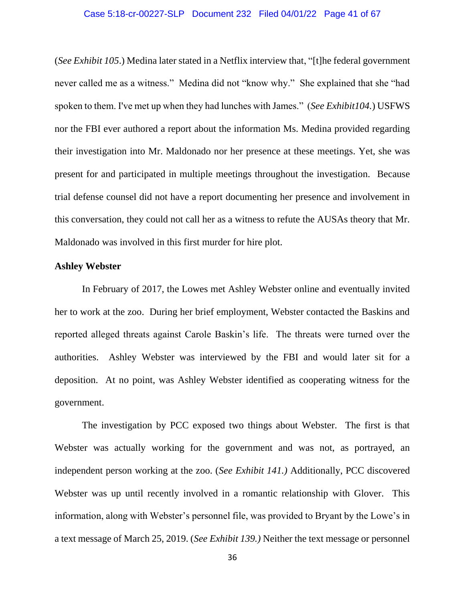## Case 5:18-cr-00227-SLP Document 232 Filed 04/01/22 Page 41 of 67

(*See Exhibit 105*.) Medina later stated in a Netflix interview that, "[t]he federal government never called me as a witness." Medina did not "know why." She explained that she "had spoken to them. I've met up when they had lunches with James." (*See Exhibit104.*) USFWS nor the FBI ever authored a report about the information Ms. Medina provided regarding their investigation into Mr. Maldonado nor her presence at these meetings. Yet, she was present for and participated in multiple meetings throughout the investigation. Because trial defense counsel did not have a report documenting her presence and involvement in this conversation, they could not call her as a witness to refute the AUSAs theory that Mr. Maldonado was involved in this first murder for hire plot.

#### <span id="page-40-0"></span>**Ashley Webster**

In February of 2017, the Lowes met Ashley Webster online and eventually invited her to work at the zoo. During her brief employment, Webster contacted the Baskins and reported alleged threats against Carole Baskin's life. The threats were turned over the authorities. Ashley Webster was interviewed by the FBI and would later sit for a deposition. At no point, was Ashley Webster identified as cooperating witness for the government.

The investigation by PCC exposed two things about Webster. The first is that Webster was actually working for the government and was not, as portrayed, an independent person working at the zoo. (*See Exhibit 141.)* Additionally, PCC discovered Webster was up until recently involved in a romantic relationship with Glover. This information, along with Webster's personnel file, was provided to Bryant by the Lowe's in a text message of March 25, 2019. (*See Exhibit 139.)* Neither the text message or personnel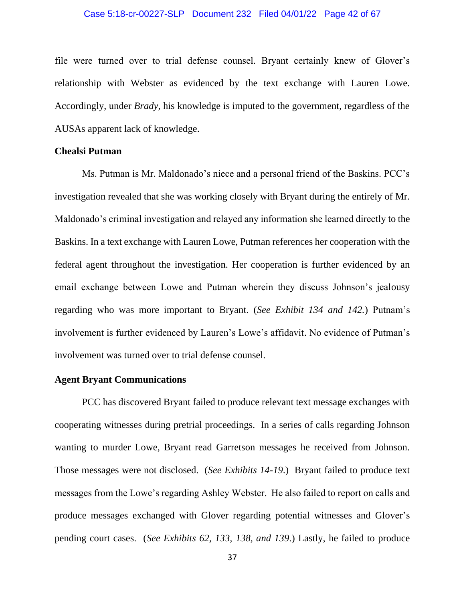#### Case 5:18-cr-00227-SLP Document 232 Filed 04/01/22 Page 42 of 67

file were turned over to trial defense counsel. Bryant certainly knew of Glover's relationship with Webster as evidenced by the text exchange with Lauren Lowe. Accordingly, under *Brady*, his knowledge is imputed to the government, regardless of the AUSAs apparent lack of knowledge.

#### <span id="page-41-0"></span>**Chealsi Putman**

Ms. Putman is Mr. Maldonado's niece and a personal friend of the Baskins. PCC's investigation revealed that she was working closely with Bryant during the entirely of Mr. Maldonado's criminal investigation and relayed any information she learned directly to the Baskins. In a text exchange with Lauren Lowe, Putman references her cooperation with the federal agent throughout the investigation. Her cooperation is further evidenced by an email exchange between Lowe and Putman wherein they discuss Johnson's jealousy regarding who was more important to Bryant. (*See Exhibit 134 and 142.*) Putnam's involvement is further evidenced by Lauren's Lowe's affidavit. No evidence of Putman's involvement was turned over to trial defense counsel.

# <span id="page-41-1"></span>**Agent Bryant Communications**

PCC has discovered Bryant failed to produce relevant text message exchanges with cooperating witnesses during pretrial proceedings. In a series of calls regarding Johnson wanting to murder Lowe, Bryant read Garretson messages he received from Johnson. Those messages were not disclosed. (*See Exhibits 14-19*.) Bryant failed to produce text messages from the Lowe's regarding Ashley Webster. He also failed to report on calls and produce messages exchanged with Glover regarding potential witnesses and Glover's pending court cases. (*See Exhibits 62, 133, 138, and 139*.) Lastly, he failed to produce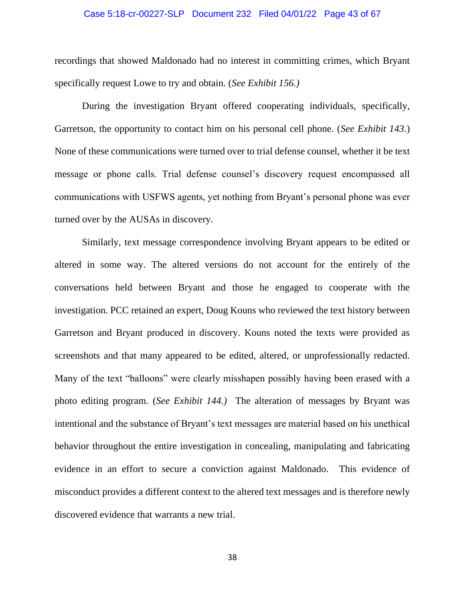#### Case 5:18-cr-00227-SLP Document 232 Filed 04/01/22 Page 43 of 67

recordings that showed Maldonado had no interest in committing crimes, which Bryant specifically request Lowe to try and obtain. (*See Exhibit 156.)*

During the investigation Bryant offered cooperating individuals, specifically, Garretson, the opportunity to contact him on his personal cell phone. (*See Exhibit 143*.) None of these communications were turned over to trial defense counsel, whether it be text message or phone calls. Trial defense counsel's discovery request encompassed all communications with USFWS agents, yet nothing from Bryant's personal phone was ever turned over by the AUSAs in discovery.

Similarly, text message correspondence involving Bryant appears to be edited or altered in some way. The altered versions do not account for the entirely of the conversations held between Bryant and those he engaged to cooperate with the investigation. PCC retained an expert, Doug Kouns who reviewed the text history between Garretson and Bryant produced in discovery. Kouns noted the texts were provided as screenshots and that many appeared to be edited, altered, or unprofessionally redacted. Many of the text "balloons" were clearly misshapen possibly having been erased with a photo editing program. (*See Exhibit 144.)* The alteration of messages by Bryant was intentional and the substance of Bryant's text messages are material based on his unethical behavior throughout the entire investigation in concealing, manipulating and fabricating evidence in an effort to secure a conviction against Maldonado. This evidence of misconduct provides a different context to the altered text messages and is therefore newly discovered evidence that warrants a new trial.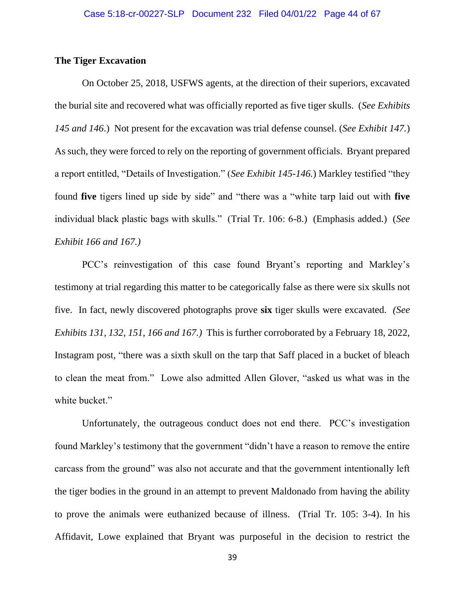# <span id="page-43-0"></span>**The Tiger Excavation**

On October 25, 2018, USFWS agents, at the direction of their superiors, excavated the burial site and recovered what was officially reported as five tiger skulls. (*See Exhibits 145 and 146*.) Not present for the excavation was trial defense counsel. (*See Exhibit 147.*) As such, they were forced to rely on the reporting of government officials. Bryant prepared a report entitled, "Details of Investigation." (*See Exhibit 145-146.*) Markley testified "they found **five** tigers lined up side by side" and "there was a "white tarp laid out with **five** individual black plastic bags with skulls." (Trial Tr. 106: 6-8.) (Emphasis added.) (*See Exhibit 166 and 167.)*

PCC's reinvestigation of this case found Bryant's reporting and Markley's testimony at trial regarding this matter to be categorically false as there were six skulls not five. In fact, newly discovered photographs prove **six** tiger skulls were excavated. *(See Exhibits 131, 132, 151, 166 and 167.)* This is further corroborated by a February 18, 2022, Instagram post, "there was a sixth skull on the tarp that Saff placed in a bucket of bleach to clean the meat from." Lowe also admitted Allen Glover, "asked us what was in the white bucket."

Unfortunately, the outrageous conduct does not end there. PCC's investigation found Markley's testimony that the government "didn't have a reason to remove the entire carcass from the ground" was also not accurate and that the government intentionally left the tiger bodies in the ground in an attempt to prevent Maldonado from having the ability to prove the animals were euthanized because of illness. (Trial Tr. 105: 3-4). In his Affidavit, Lowe explained that Bryant was purposeful in the decision to restrict the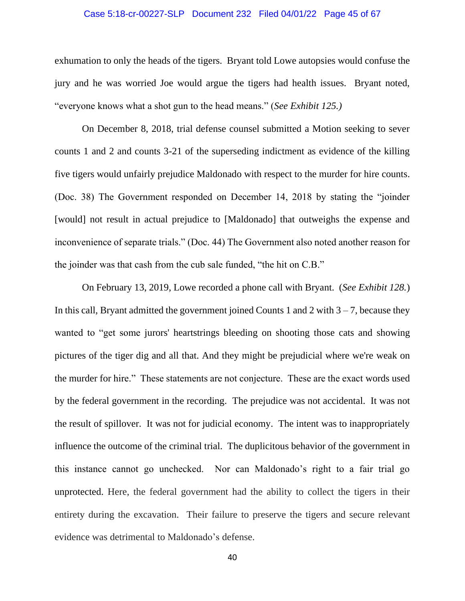#### Case 5:18-cr-00227-SLP Document 232 Filed 04/01/22 Page 45 of 67

exhumation to only the heads of the tigers. Bryant told Lowe autopsies would confuse the jury and he was worried Joe would argue the tigers had health issues. Bryant noted, "everyone knows what a shot gun to the head means." (*See Exhibit 125.)* 

On December 8, 2018, trial defense counsel submitted a Motion seeking to sever counts 1 and 2 and counts 3-21 of the superseding indictment as evidence of the killing five tigers would unfairly prejudice Maldonado with respect to the murder for hire counts. (Doc. 38) The Government responded on December 14, 2018 by stating the "joinder [would] not result in actual prejudice to [Maldonado] that outweighs the expense and inconvenience of separate trials." (Doc. 44) The Government also noted another reason for the joinder was that cash from the cub sale funded, "the hit on C.B."

On February 13, 2019, Lowe recorded a phone call with Bryant. (*See Exhibit 128.*) In this call, Bryant admitted the government joined Counts 1 and 2 with  $3 - 7$ , because they wanted to "get some jurors' heartstrings bleeding on shooting those cats and showing pictures of the tiger dig and all that. And they might be prejudicial where we're weak on the murder for hire." These statements are not conjecture. These are the exact words used by the federal government in the recording. The prejudice was not accidental. It was not the result of spillover. It was not for judicial economy. The intent was to inappropriately influence the outcome of the criminal trial. The duplicitous behavior of the government in this instance cannot go unchecked. Nor can Maldonado's right to a fair trial go unprotected. Here, the federal government had the ability to collect the tigers in their entirety during the excavation. Their failure to preserve the tigers and secure relevant evidence was detrimental to Maldonado's defense.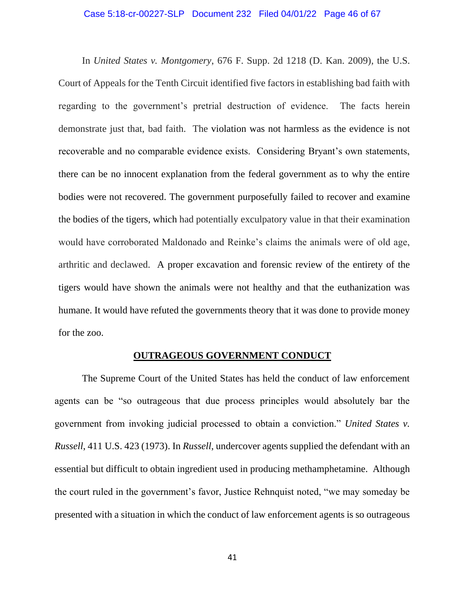#### Case 5:18-cr-00227-SLP Document 232 Filed 04/01/22 Page 46 of 67

In *United States v. Montgomery*, 676 F. Supp. 2d 1218 (D. Kan. 2009), the U.S. Court of Appeals for the Tenth Circuit identified five factors in establishing bad faith with regarding to the government's pretrial destruction of evidence. The facts herein demonstrate just that, bad faith. The violation was not harmless as the evidence is not recoverable and no comparable evidence exists. Considering Bryant's own statements, there can be no innocent explanation from the federal government as to why the entire bodies were not recovered. The government purposefully failed to recover and examine the bodies of the tigers, which had potentially exculpatory value in that their examination would have corroborated Maldonado and Reinke's claims the animals were of old age, arthritic and declawed. A proper excavation and forensic review of the entirety of the tigers would have shown the animals were not healthy and that the euthanization was humane. It would have refuted the governments theory that it was done to provide money for the zoo.

#### **OUTRAGEOUS GOVERNMENT CONDUCT**

<span id="page-45-0"></span>The Supreme Court of the United States has held the conduct of law enforcement agents can be "so outrageous that due process principles would absolutely bar the government from invoking judicial processed to obtain a conviction." *United States v. Russell*, 411 U.S. 423 (1973). In *Russell*, undercover agents supplied the defendant with an essential but difficult to obtain ingredient used in producing methamphetamine. Although the court ruled in the government's favor, Justice Rehnquist noted, "we may someday be presented with a situation in which the conduct of law enforcement agents is so outrageous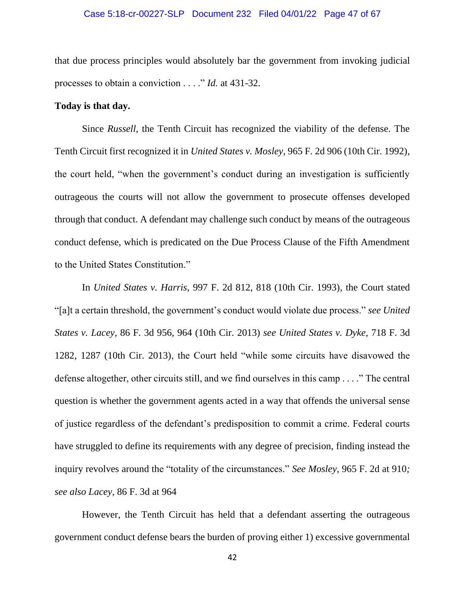## Case 5:18-cr-00227-SLP Document 232 Filed 04/01/22 Page 47 of 67

that due process principles would absolutely bar the government from invoking judicial processes to obtain a conviction . . . ." *Id.* at 431-32.

#### **Today is that day.**

Since *Russell*, the Tenth Circuit has recognized the viability of the defense. The Tenth Circuit first recognized it in *United States v. Mosley*, 965 F. 2d 906 (10th Cir. 1992), the court held, "when the government's conduct during an investigation is sufficiently outrageous the courts will not allow the government to prosecute offenses developed through that conduct. A defendant may challenge such conduct by means of the outrageous conduct defense, which is predicated on the Due Process Clause of the Fifth Amendment to the United States Constitution."

In *United States v. Harris*, 997 F. 2d 812, 818 (10th Cir. 1993), the Court stated "[a]t a certain threshold, the government's conduct would violate due process." *see United States v. Lacey*, 86 F. 3d 956, 964 (10th Cir. 2013) *see United States v. Dyke*, 718 F. 3d 1282, 1287 (10th Cir. 2013), the Court held "while some circuits have disavowed the defense altogether, other circuits still, and we find ourselves in this camp . . . ." The central question is whether the government agents acted in a way that offends the universal sense of justice regardless of the defendant's predisposition to commit a crime. Federal courts have struggled to define its requirements with any degree of precision, finding instead the inquiry revolves around the "totality of the circumstances." *See Mosley*, 965 F. 2d at 910*; see also Lacey*, 86 F. 3d at 964

However, the Tenth Circuit has held that a defendant asserting the outrageous government conduct defense bears the burden of proving either 1) excessive governmental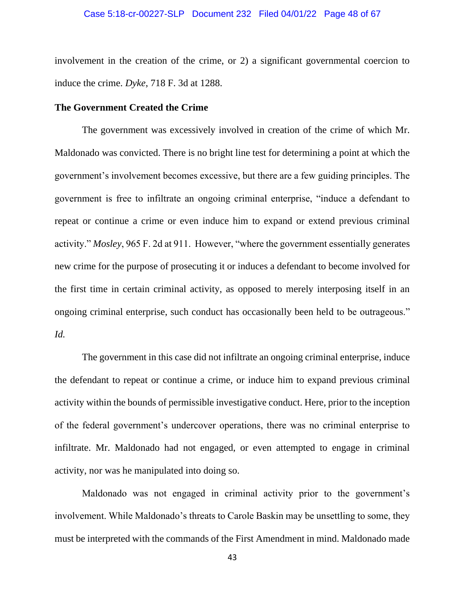involvement in the creation of the crime, or 2) a significant governmental coercion to induce the crime. *Dyke*, 718 F. 3d at 1288.

## <span id="page-47-0"></span>**The Government Created the Crime**

The government was excessively involved in creation of the crime of which Mr. Maldonado was convicted. There is no bright line test for determining a point at which the government's involvement becomes excessive, but there are a few guiding principles. The government is free to infiltrate an ongoing criminal enterprise, "induce a defendant to repeat or continue a crime or even induce him to expand or extend previous criminal activity." *Mosley*, 965 F. 2d at 911. However, "where the government essentially generates new crime for the purpose of prosecuting it or induces a defendant to become involved for the first time in certain criminal activity, as opposed to merely interposing itself in an ongoing criminal enterprise, such conduct has occasionally been held to be outrageous." *Id.*

The government in this case did not infiltrate an ongoing criminal enterprise, induce the defendant to repeat or continue a crime, or induce him to expand previous criminal activity within the bounds of permissible investigative conduct. Here, prior to the inception of the federal government's undercover operations, there was no criminal enterprise to infiltrate. Mr. Maldonado had not engaged, or even attempted to engage in criminal activity, nor was he manipulated into doing so.

Maldonado was not engaged in criminal activity prior to the government's involvement. While Maldonado's threats to Carole Baskin may be unsettling to some, they must be interpreted with the commands of the First Amendment in mind. Maldonado made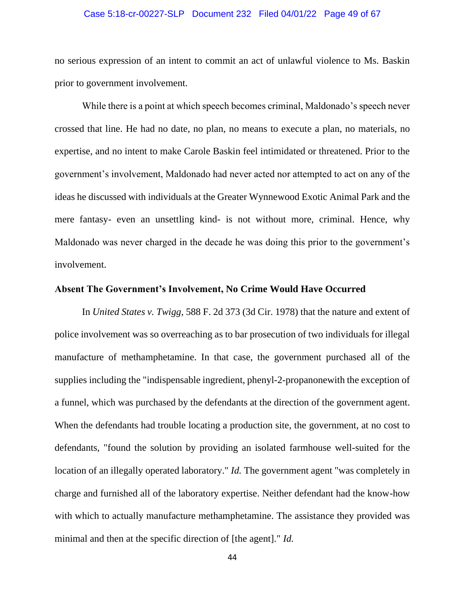#### Case 5:18-cr-00227-SLP Document 232 Filed 04/01/22 Page 49 of 67

no serious expression of an intent to commit an act of unlawful violence to Ms. Baskin prior to government involvement.

While there is a point at which speech becomes criminal, Maldonado's speech never crossed that line. He had no date, no plan, no means to execute a plan, no materials, no expertise, and no intent to make Carole Baskin feel intimidated or threatened. Prior to the government's involvement, Maldonado had never acted nor attempted to act on any of the ideas he discussed with individuals at the Greater Wynnewood Exotic Animal Park and the mere fantasy- even an unsettling kind- is not without more, criminal. Hence, why Maldonado was never charged in the decade he was doing this prior to the government's involvement.

## <span id="page-48-0"></span>**Absent The Government's Involvement, No Crime Would Have Occurred**

In *United States v. Twigg*, 588 F. 2d 373 (3d Cir. 1978) that the nature and extent of police involvement was so overreaching as to bar prosecution of two individuals for illegal manufacture of methamphetamine. In that case, the government purchased all of the supplies including the "indispensable ingredient, phenyl-2-propanonewith the exception of a funnel, which was purchased by the defendants at the direction of the government agent. When the defendants had trouble locating a production site, the government, at no cost to defendants, "found the solution by providing an isolated farmhouse well-suited for the location of an illegally operated laboratory." *Id.* The government agent "was completely in charge and furnished all of the laboratory expertise. Neither defendant had the know-how with which to actually manufacture methamphetamine. The assistance they provided was minimal and then at the specific direction of [the agent]." *Id.*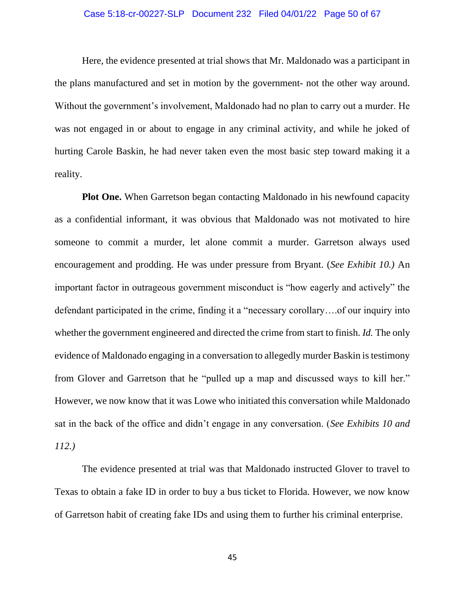#### Case 5:18-cr-00227-SLP Document 232 Filed 04/01/22 Page 50 of 67

Here, the evidence presented at trial shows that Mr. Maldonado was a participant in the plans manufactured and set in motion by the government- not the other way around. Without the government's involvement, Maldonado had no plan to carry out a murder. He was not engaged in or about to engage in any criminal activity, and while he joked of hurting Carole Baskin, he had never taken even the most basic step toward making it a reality.

**Plot One.** When Garretson began contacting Maldonado in his newfound capacity as a confidential informant, it was obvious that Maldonado was not motivated to hire someone to commit a murder, let alone commit a murder. Garretson always used encouragement and prodding. He was under pressure from Bryant. (*See Exhibit 10.)* An important factor in outrageous government misconduct is "how eagerly and actively" the defendant participated in the crime, finding it a "necessary corollary….of our inquiry into whether the government engineered and directed the crime from start to finish. *Id.* The only evidence of Maldonado engaging in a conversation to allegedly murder Baskin is testimony from Glover and Garretson that he "pulled up a map and discussed ways to kill her." However, we now know that it was Lowe who initiated this conversation while Maldonado sat in the back of the office and didn't engage in any conversation. (*See Exhibits 10 and 112.)*

The evidence presented at trial was that Maldonado instructed Glover to travel to Texas to obtain a fake ID in order to buy a bus ticket to Florida. However, we now know of Garretson habit of creating fake IDs and using them to further his criminal enterprise.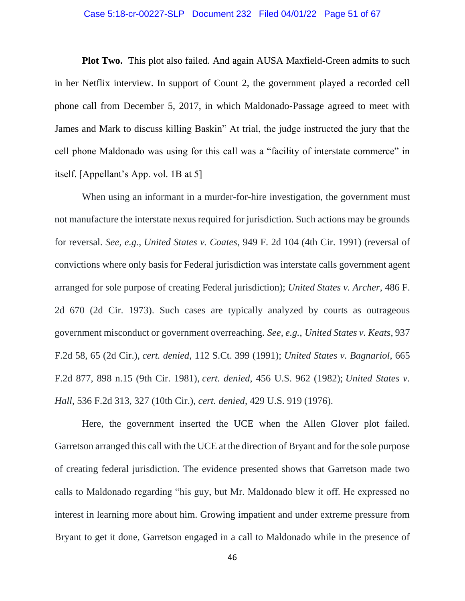#### Case 5:18-cr-00227-SLP Document 232 Filed 04/01/22 Page 51 of 67

**Plot Two.** This plot also failed. And again AUSA Maxfield-Green admits to such in her Netflix interview. In support of Count 2, the government played a recorded cell phone call from December 5, 2017, in which Maldonado-Passage agreed to meet with James and Mark to discuss killing Baskin" At trial, the judge instructed the jury that the cell phone Maldonado was using for this call was a "facility of interstate commerce" in itself. [Appellant's App. vol. 1B at 5]

When using an informant in a murder-for-hire investigation, the government must not manufacture the interstate nexus required for jurisdiction. Such actions may be grounds for reversal. *See, e.g.*, *United States v. Coates*, 949 F. 2d 104 (4th Cir. 1991) (reversal of convictions where only basis for Federal jurisdiction was interstate calls government agent arranged for sole purpose of creating Federal jurisdiction); *United States v. Archer*, 486 F. 2d 670 (2d Cir. 1973). Such cases are typically analyzed by courts as outrageous government misconduct or government overreaching. *See, e.g.*, *United States v. Keats*, 937 F.2d 58, 65 (2d Cir.), *cert. denied*, 112 S.Ct. 399 (1991); *United States v. Bagnariol*, 665 F.2d 877, 898 n.15 (9th Cir. 1981), *cert. denied*, 456 U.S. 962 (1982); *United States v. Hall*, 536 F.2d 313, 327 (10th Cir.), *cert. denied*, 429 U.S. 919 (1976).

Here, the government inserted the UCE when the Allen Glover plot failed. Garretson arranged this call with the UCE at the direction of Bryant and for the sole purpose of creating federal jurisdiction. The evidence presented shows that Garretson made two calls to Maldonado regarding "his guy, but Mr. Maldonado blew it off. He expressed no interest in learning more about him. Growing impatient and under extreme pressure from Bryant to get it done, Garretson engaged in a call to Maldonado while in the presence of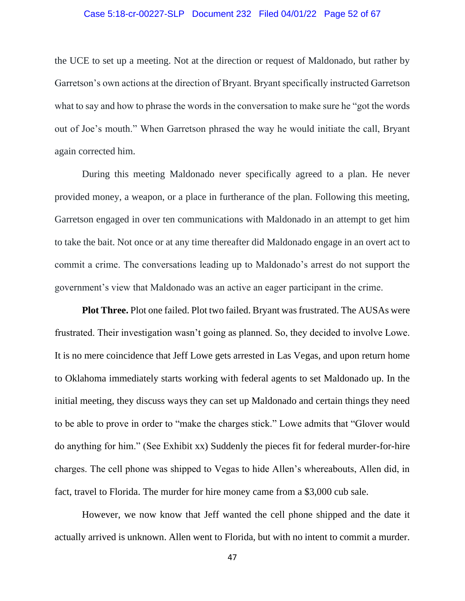#### Case 5:18-cr-00227-SLP Document 232 Filed 04/01/22 Page 52 of 67

the UCE to set up a meeting. Not at the direction or request of Maldonado, but rather by Garretson's own actions at the direction of Bryant. Bryant specifically instructed Garretson what to say and how to phrase the words in the conversation to make sure he "got the words out of Joe's mouth." When Garretson phrased the way he would initiate the call, Bryant again corrected him.

During this meeting Maldonado never specifically agreed to a plan. He never provided money, a weapon, or a place in furtherance of the plan. Following this meeting, Garretson engaged in over ten communications with Maldonado in an attempt to get him to take the bait. Not once or at any time thereafter did Maldonado engage in an overt act to commit a crime. The conversations leading up to Maldonado's arrest do not support the government's view that Maldonado was an active an eager participant in the crime.

**Plot Three.** Plot one failed. Plot two failed. Bryant was frustrated. The AUSAs were frustrated. Their investigation wasn't going as planned. So, they decided to involve Lowe. It is no mere coincidence that Jeff Lowe gets arrested in Las Vegas, and upon return home to Oklahoma immediately starts working with federal agents to set Maldonado up. In the initial meeting, they discuss ways they can set up Maldonado and certain things they need to be able to prove in order to "make the charges stick." Lowe admits that "Glover would do anything for him." (See Exhibit xx) Suddenly the pieces fit for federal murder-for-hire charges. The cell phone was shipped to Vegas to hide Allen's whereabouts, Allen did, in fact, travel to Florida. The murder for hire money came from a \$3,000 cub sale.

However, we now know that Jeff wanted the cell phone shipped and the date it actually arrived is unknown. Allen went to Florida, but with no intent to commit a murder.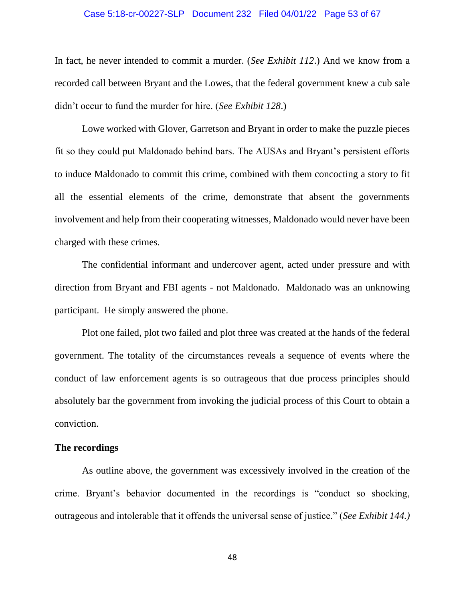#### Case 5:18-cr-00227-SLP Document 232 Filed 04/01/22 Page 53 of 67

In fact, he never intended to commit a murder. (*See Exhibit 112*.) And we know from a recorded call between Bryant and the Lowes, that the federal government knew a cub sale didn't occur to fund the murder for hire. (*See Exhibit 128*.)

Lowe worked with Glover, Garretson and Bryant in order to make the puzzle pieces fit so they could put Maldonado behind bars. The AUSAs and Bryant's persistent efforts to induce Maldonado to commit this crime, combined with them concocting a story to fit all the essential elements of the crime, demonstrate that absent the governments involvement and help from their cooperating witnesses, Maldonado would never have been charged with these crimes.

The confidential informant and undercover agent, acted under pressure and with direction from Bryant and FBI agents - not Maldonado. Maldonado was an unknowing participant. He simply answered the phone.

Plot one failed, plot two failed and plot three was created at the hands of the federal government. The totality of the circumstances reveals a sequence of events where the conduct of law enforcement agents is so outrageous that due process principles should absolutely bar the government from invoking the judicial process of this Court to obtain a conviction.

# <span id="page-52-0"></span>**The recordings**

As outline above, the government was excessively involved in the creation of the crime. Bryant's behavior documented in the recordings is "conduct so shocking, outrageous and intolerable that it offends the universal sense of justice." (*See Exhibit 144.)*

48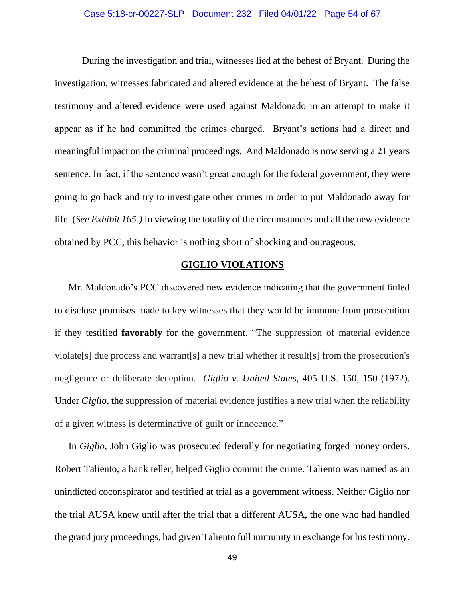## Case 5:18-cr-00227-SLP Document 232 Filed 04/01/22 Page 54 of 67

During the investigation and trial, witnesses lied at the behest of Bryant. During the investigation, witnesses fabricated and altered evidence at the behest of Bryant. The false testimony and altered evidence were used against Maldonado in an attempt to make it appear as if he had committed the crimes charged. Bryant's actions had a direct and meaningful impact on the criminal proceedings. And Maldonado is now serving a 21 years sentence. In fact, if the sentence wasn't great enough for the federal government, they were going to go back and try to investigate other crimes in order to put Maldonado away for life. (*See Exhibit 165.)* In viewing the totality of the circumstances and all the new evidence obtained by PCC, this behavior is nothing short of shocking and outrageous.

# **GIGLIO VIOLATIONS**

<span id="page-53-0"></span>Mr. Maldonado's PCC discovered new evidence indicating that the government failed to disclose promises made to key witnesses that they would be immune from prosecution if they testified **favorably** for the government. "The suppression of material evidence violate[s] due process and warrant[s] a new trial whether it result[s] from the prosecution's negligence or deliberate deception. *Giglio v. United States*, 405 U.S. 150, 150 (1972). Under *Giglio*, the suppression of material evidence justifies a new trial when the reliability of a given witness is determinative of guilt or innocence."

In *Giglio*, John Giglio was prosecuted federally for negotiating forged money orders. Robert Taliento, a bank teller, helped Giglio commit the crime. Taliento was named as an unindicted coconspirator and testified at trial as a government witness. Neither Giglio nor the trial AUSA knew until after the trial that a different AUSA, the one who had handled the grand jury proceedings, had given Taliento full immunity in exchange for his testimony.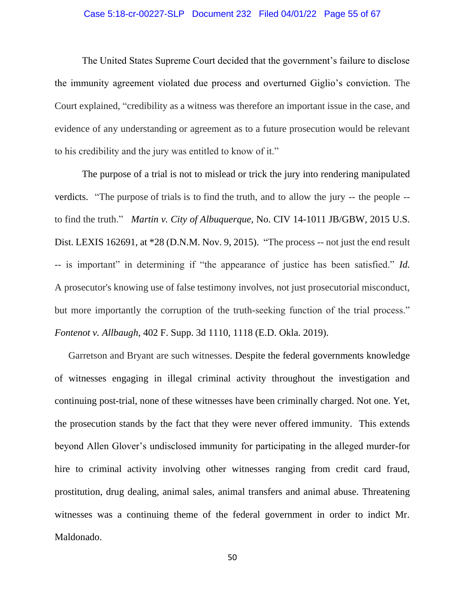## Case 5:18-cr-00227-SLP Document 232 Filed 04/01/22 Page 55 of 67

The United States Supreme Court decided that the government's failure to disclose the immunity agreement violated due process and overturned Giglio's conviction. The Court explained, "credibility as a witness was therefore an important issue in the case, and evidence of any understanding or agreement as to a future prosecution would be relevant to his credibility and the jury was entitled to know of it."

The purpose of a trial is not to mislead or trick the jury into rendering manipulated verdicts. "The purpose of trials is to find the truth, and to allow the jury -- the people - to find the truth." *Martin v. City of Albuquerque*, No. CIV 14-1011 JB/GBW, 2015 U.S. Dist. LEXIS 162691, at \*28 (D.N.M. Nov. 9, 2015). "The process -- not just the end result -- is important" in determining if "the appearance of justice has been satisfied." *Id.* A prosecutor's knowing use of false testimony involves, not just prosecutorial misconduct, but more importantly the corruption of the truth-seeking function of the trial process." *Fontenot v. Allbaugh*, 402 F. Supp. 3d 1110, 1118 (E.D. Okla. 2019).

Garretson and Bryant are such witnesses. Despite the federal governments knowledge of witnesses engaging in illegal criminal activity throughout the investigation and continuing post-trial, none of these witnesses have been criminally charged. Not one. Yet, the prosecution stands by the fact that they were never offered immunity. This extends beyond Allen Glover's undisclosed immunity for participating in the alleged murder-for hire to criminal activity involving other witnesses ranging from credit card fraud, prostitution, drug dealing, animal sales, animal transfers and animal abuse. Threatening witnesses was a continuing theme of the federal government in order to indict Mr. Maldonado.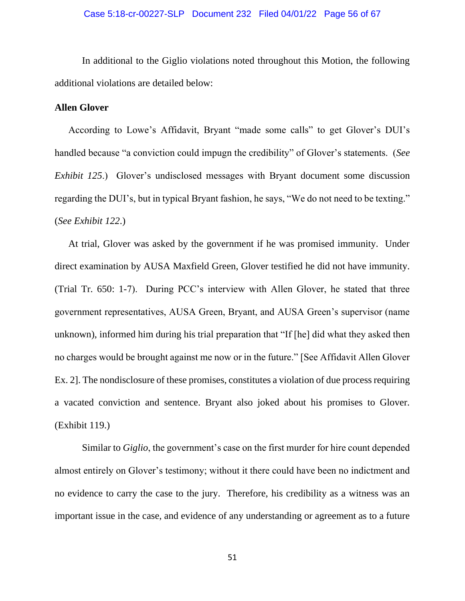In additional to the Giglio violations noted throughout this Motion, the following additional violations are detailed below:

# <span id="page-55-0"></span>**Allen Glover**

According to Lowe's Affidavit, Bryant "made some calls" to get Glover's DUI's handled because "a conviction could impugn the credibility" of Glover's statements. (*See Exhibit 125*.) Glover's undisclosed messages with Bryant document some discussion regarding the DUI's, but in typical Bryant fashion, he says, "We do not need to be texting." (*See Exhibit 122*.)

At trial, Glover was asked by the government if he was promised immunity. Under direct examination by AUSA Maxfield Green, Glover testified he did not have immunity. (Trial Tr. 650: 1-7). During PCC's interview with Allen Glover, he stated that three government representatives, AUSA Green, Bryant, and AUSA Green's supervisor (name unknown), informed him during his trial preparation that "If [he] did what they asked then no charges would be brought against me now or in the future." [See Affidavit Allen Glover Ex. 2]. The nondisclosure of these promises, constitutes a violation of due process requiring a vacated conviction and sentence. Bryant also joked about his promises to Glover. (Exhibit 119.)

Similar to *Giglio*, the government's case on the first murder for hire count depended almost entirely on Glover's testimony; without it there could have been no indictment and no evidence to carry the case to the jury. Therefore, his credibility as a witness was an important issue in the case, and evidence of any understanding or agreement as to a future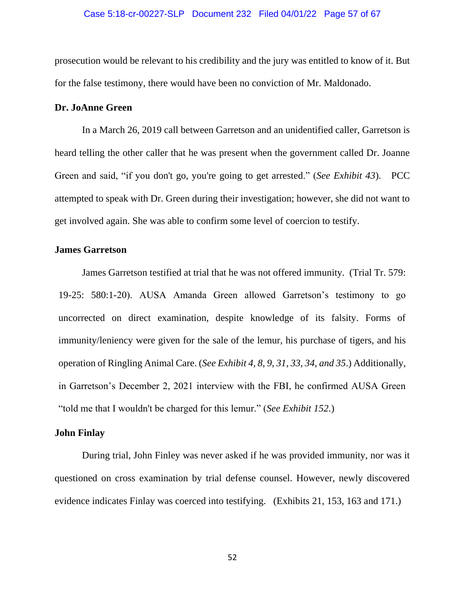prosecution would be relevant to his credibility and the jury was entitled to know of it. But for the false testimony, there would have been no conviction of Mr. Maldonado.

# <span id="page-56-0"></span>**Dr. JoAnne Green**

In a March 26, 2019 call between Garretson and an unidentified caller, Garretson is heard telling the other caller that he was present when the government called Dr. Joanne Green and said, "if you don't go, you're going to get arrested." (*See Exhibit 43*). PCC attempted to speak with Dr. Green during their investigation; however, she did not want to get involved again. She was able to confirm some level of coercion to testify.

# <span id="page-56-1"></span>**James Garretson**

James Garretson testified at trial that he was not offered immunity. (Trial Tr. 579: 19-25: 580:1-20). AUSA Amanda Green allowed Garretson's testimony to go uncorrected on direct examination, despite knowledge of its falsity. Forms of immunity/leniency were given for the sale of the lemur, his purchase of tigers, and his operation of Ringling Animal Care. (*See Exhibit 4, 8, 9, 31, 33, 34, and 35*.) Additionally, in Garretson's December 2, 2021 interview with the FBI, he confirmed AUSA Green "told me that I wouldn't be charged for this lemur." (*See Exhibit 152*.)

## <span id="page-56-2"></span>**John Finlay**

During trial, John Finley was never asked if he was provided immunity, nor was it questioned on cross examination by trial defense counsel. However, newly discovered evidence indicates Finlay was coerced into testifying. (Exhibits 21, 153, 163 and 171.)

52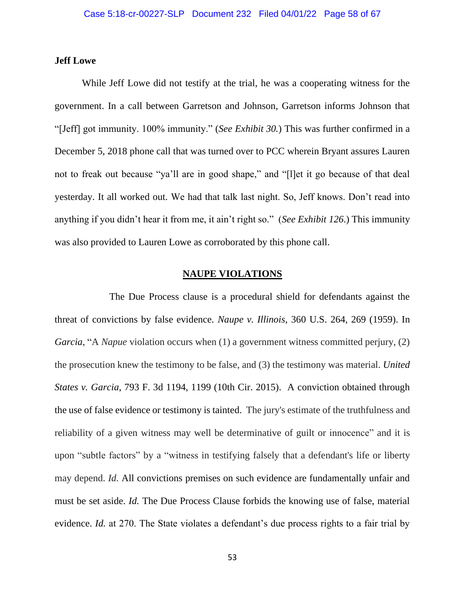# <span id="page-57-0"></span>**Jeff Lowe**

While Jeff Lowe did not testify at the trial, he was a cooperating witness for the government. In a call between Garretson and Johnson, Garretson informs Johnson that "[Jeff] got immunity. 100% immunity." (*See Exhibit 30.*) This was further confirmed in a December 5, 2018 phone call that was turned over to PCC wherein Bryant assures Lauren not to freak out because "ya'll are in good shape," and "[l]et it go because of that deal yesterday. It all worked out. We had that talk last night. So, Jeff knows. Don't read into anything if you didn't hear it from me, it ain't right so." (*See Exhibit 126*.) This immunity was also provided to Lauren Lowe as corroborated by this phone call.

# **NAUPE VIOLATIONS**

<span id="page-57-1"></span>The Due Process clause is a procedural shield for defendants against the threat of convictions by false evidence. *Naupe v. Illinois*, 360 U.S. 264, 269 (1959). In *Garcia*, "A *Napue* violation occurs when (1) a government witness committed perjury, (2) the prosecution knew the testimony to be false, and (3) the testimony was material. *United States v. Garcia*, 793 F. 3d 1194, 1199 (10th Cir. 2015). A conviction obtained through the use of false evidence or testimony is tainted. The jury's estimate of the truthfulness and reliability of a given witness may well be determinative of guilt or innocence" and it is upon "subtle factors" by a "witness in testifying falsely that a defendant's life or liberty may depend. *Id.* All convictions premises on such evidence are fundamentally unfair and must be set aside. *Id.* The Due Process Clause forbids the knowing use of false, material evidence. *Id.* at 270. The State violates a defendant's due process rights to a fair trial by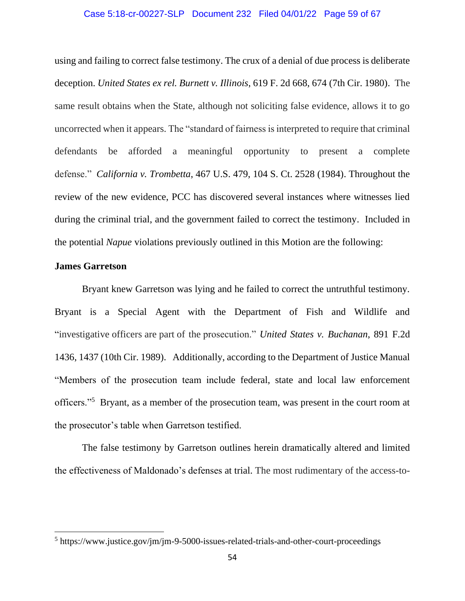#### Case 5:18-cr-00227-SLP Document 232 Filed 04/01/22 Page 59 of 67

using and failing to correct false testimony. The crux of a denial of due process is deliberate deception. *United States ex rel. Burnett v. Illinois*, 619 F. 2d 668, 674 (7th Cir. 1980). The same result obtains when the State, although not soliciting false evidence, allows it to go uncorrected when it appears. The "standard of fairness is interpreted to require that criminal defendants be afforded a meaningful opportunity to present a complete defense." *California v. Trombetta*, 467 U.S. 479, 104 S. Ct. 2528 (1984). Throughout the review of the new evidence, PCC has discovered several instances where witnesses lied during the criminal trial, and the government failed to correct the testimony. Included in the potential *Napue* violations previously outlined in this Motion are the following:

## <span id="page-58-0"></span>**James Garretson**

Bryant knew Garretson was lying and he failed to correct the untruthful testimony. Bryant is a Special Agent with the Department of Fish and Wildlife and "investigative officers are part of the prosecution." *United States v. Buchanan*, 891 F.2d 1436, 1437 (10th Cir. 1989). Additionally, according to the Department of Justice Manual "Members of the prosecution team include federal, state and local law enforcement officers."<sup>5</sup> Bryant, as a member of the prosecution team, was present in the court room at the prosecutor's table when Garretson testified.

The false testimony by Garretson outlines herein dramatically altered and limited the effectiveness of Maldonado's defenses at trial. The most rudimentary of the access-to-

<sup>&</sup>lt;sup>5</sup> https://www.justice.gov/jm/jm-9-5000-issues-related-trials-and-other-court-proceedings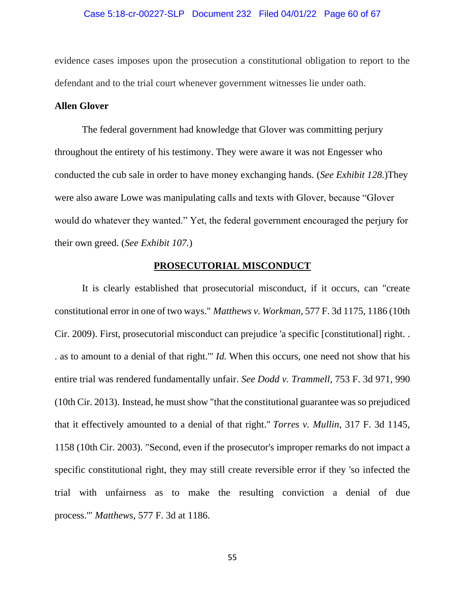evidence cases imposes upon the prosecution a constitutional obligation to report to the defendant and to the trial court whenever government witnesses lie under oath.

# <span id="page-59-0"></span>**Allen Glover**

The federal government had knowledge that Glover was committing perjury throughout the entirety of his testimony. They were aware it was not Engesser who conducted the cub sale in order to have money exchanging hands. (*See Exhibit 128*.)They were also aware Lowe was manipulating calls and texts with Glover, because "Glover would do whatever they wanted." Yet, the federal government encouraged the perjury for their own greed. (*See Exhibit 107.*)

# **PROSECUTORIAL MISCONDUCT**

<span id="page-59-1"></span>It is clearly established that prosecutorial misconduct, if it occurs, can "create constitutional error in one of two ways." *Matthews v. [Workman,](https://plus.lexis.com/document/?pdmfid=1530671&crid=8d25552a-3394-43c5-8dc6-59c0c377670d&pddocfullpath=%2Fshared%2Fdocument%2Fcases%2Furn%3AcontentItem%3A5S2T-BRT1-DXHD-G4RC-00000-00&pdcontentcomponentid=6420&pdteaserkey=&pdislpamode=false&pdworkfolderlocatorid=NOT_SAVED_IN_WORKFOLDER&ecomp=hf4k&earg=sr15&prid=5944878b-56b3-49a0-9182-df47a5f7c898)* 577 F. 3d 1175, 1186 (10th Cir. [2009\).](https://plus.lexis.com/document/?pdmfid=1530671&crid=8d25552a-3394-43c5-8dc6-59c0c377670d&pddocfullpath=%2Fshared%2Fdocument%2Fcases%2Furn%3AcontentItem%3A5S2T-BRT1-DXHD-G4RC-00000-00&pdcontentcomponentid=6420&pdteaserkey=&pdislpamode=false&pdworkfolderlocatorid=NOT_SAVED_IN_WORKFOLDER&ecomp=hf4k&earg=sr15&prid=5944878b-56b3-49a0-9182-df47a5f7c898) First, prosecutorial misconduct can prejudice 'a specific [constitutional] right. . . as to amount to a denial of that right.'" *Id.* When this occurs, one need not show that his entire trial was rendered fundamentally unfair. *See Dodd v. [Trammell](https://plus.lexis.com/document/?pdmfid=1530671&crid=8d25552a-3394-43c5-8dc6-59c0c377670d&pddocfullpath=%2Fshared%2Fdocument%2Fcases%2Furn%3AcontentItem%3A5S2T-BRT1-DXHD-G4RC-00000-00&pdcontentcomponentid=6420&pdteaserkey=&pdislpamode=false&pdworkfolderlocatorid=NOT_SAVED_IN_WORKFOLDER&ecomp=hf4k&earg=sr15&prid=5944878b-56b3-49a0-9182-df47a5f7c898)*, 753 F. 3d 971, 990 (10th Cir. [2013\).](https://plus.lexis.com/document/?pdmfid=1530671&crid=8d25552a-3394-43c5-8dc6-59c0c377670d&pddocfullpath=%2Fshared%2Fdocument%2Fcases%2Furn%3AcontentItem%3A5S2T-BRT1-DXHD-G4RC-00000-00&pdcontentcomponentid=6420&pdteaserkey=&pdislpamode=false&pdworkfolderlocatorid=NOT_SAVED_IN_WORKFOLDER&ecomp=hf4k&earg=sr15&prid=5944878b-56b3-49a0-9182-df47a5f7c898) Instead, he must show "that the constitutional guarantee was so prejudiced that it effectively amounted to a denial of that right." *Torres v. [Mullin](https://plus.lexis.com/document/?pdmfid=1530671&crid=8d25552a-3394-43c5-8dc6-59c0c377670d&pddocfullpath=%2Fshared%2Fdocument%2Fcases%2Furn%3AcontentItem%3A5S2T-BRT1-DXHD-G4RC-00000-00&pdcontentcomponentid=6420&pdteaserkey=&pdislpamode=false&pdworkfolderlocatorid=NOT_SAVED_IN_WORKFOLDER&ecomp=hf4k&earg=sr15&prid=5944878b-56b3-49a0-9182-df47a5f7c898)*, 317 F. 3d 1145, 1158 (10th Cir. [2003\).](https://plus.lexis.com/document/?pdmfid=1530671&crid=8d25552a-3394-43c5-8dc6-59c0c377670d&pddocfullpath=%2Fshared%2Fdocument%2Fcases%2Furn%3AcontentItem%3A5S2T-BRT1-DXHD-G4RC-00000-00&pdcontentcomponentid=6420&pdteaserkey=&pdislpamode=false&pdworkfolderlocatorid=NOT_SAVED_IN_WORKFOLDER&ecomp=hf4k&earg=sr15&prid=5944878b-56b3-49a0-9182-df47a5f7c898) "Second, even if the prosecutor's improper remarks do not impact a specific constitutional right, they may still create reversible error if they 'so infected the trial with unfairness as to make the resulting conviction a denial of due process.'" *[Matthews](https://plus.lexis.com/document/?pdmfid=1530671&crid=8d25552a-3394-43c5-8dc6-59c0c377670d&pddocfullpath=%2Fshared%2Fdocument%2Fcases%2Furn%3AcontentItem%3A5S2T-BRT1-DXHD-G4RC-00000-00&pdcontentcomponentid=6420&pdteaserkey=&pdislpamode=false&pdworkfolderlocatorid=NOT_SAVED_IN_WORKFOLDER&ecomp=hf4k&earg=sr15&prid=5944878b-56b3-49a0-9182-df47a5f7c898)*, 577 F. 3d at 1186.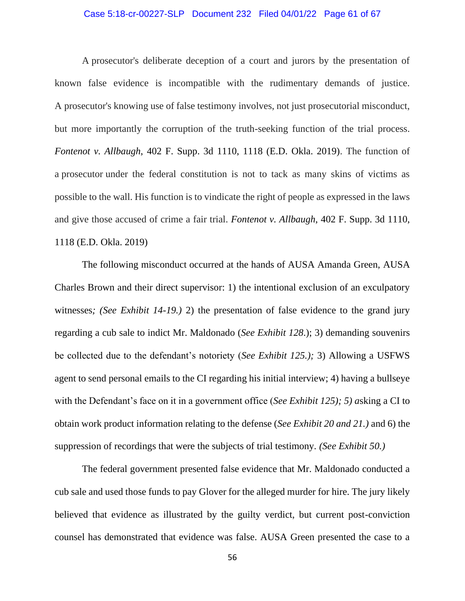## Case 5:18-cr-00227-SLP Document 232 Filed 04/01/22 Page 61 of 67

A prosecutor's deliberate deception of a court and jurors by the presentation of known false evidence is incompatible with the rudimentary demands of justice. A prosecutor's knowing use of false testimony involves, not just prosecutorial misconduct, but more importantly the corruption of the truth-seeking function of the trial process. *Fontenot v. Allbaugh*, 402 F. Supp. 3d 1110, 1118 (E.D. Okla. 2019). The function of a prosecutor under the federal constitution is not to tack as many skins of victims as possible to the wall. His function is to vindicate the right of people as expressed in the laws and give those accused of crime a fair trial. *Fontenot v. Allbaugh*, 402 F. Supp. 3d 1110, 1118 (E.D. Okla. 2019)

The following misconduct occurred at the hands of AUSA Amanda Green, AUSA Charles Brown and their direct supervisor: 1) the intentional exclusion of an exculpatory witnesses*; (See Exhibit 14-19.)* 2) the presentation of false evidence to the grand jury regarding a cub sale to indict Mr. Maldonado (*See Exhibit 128*.); 3) demanding souvenirs be collected due to the defendant's notoriety (*See Exhibit 125.);* 3) Allowing a USFWS agent to send personal emails to the CI regarding his initial interview; 4) having a bullseye with the Defendant's face on it in a government office (*See Exhibit 125); 5) a*sking a CI to obtain work product information relating to the defense (*See Exhibit 20 and 21.)* and 6) the suppression of recordings that were the subjects of trial testimony*. (See Exhibit 50.)*

The federal government presented false evidence that Mr. Maldonado conducted a cub sale and used those funds to pay Glover for the alleged murder for hire. The jury likely believed that evidence as illustrated by the guilty verdict, but current post-conviction counsel has demonstrated that evidence was false. AUSA Green presented the case to a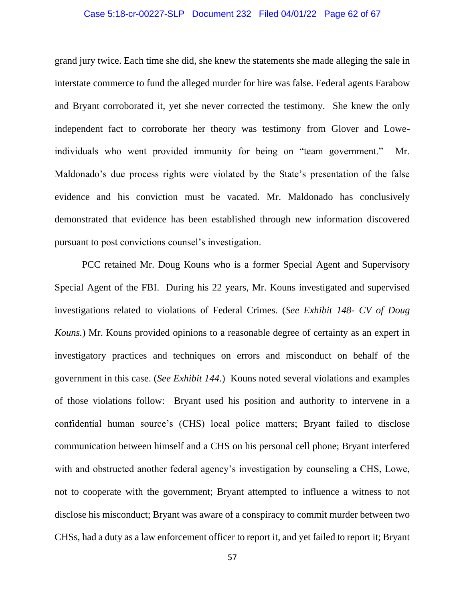## Case 5:18-cr-00227-SLP Document 232 Filed 04/01/22 Page 62 of 67

grand jury twice. Each time she did, she knew the statements she made alleging the sale in interstate commerce to fund the alleged murder for hire was false. Federal agents Farabow and Bryant corroborated it, yet she never corrected the testimony. She knew the only independent fact to corroborate her theory was testimony from Glover and Loweindividuals who went provided immunity for being on "team government." Mr. Maldonado's due process rights were violated by the State's presentation of the false evidence and his conviction must be vacated. Mr. Maldonado has conclusively demonstrated that evidence has been established through new information discovered pursuant to post convictions counsel's investigation.

PCC retained Mr. Doug Kouns who is a former Special Agent and Supervisory Special Agent of the FBI. During his 22 years, Mr. Kouns investigated and supervised investigations related to violations of Federal Crimes. (*See Exhibit 148- CV of Doug Kouns.*) Mr. Kouns provided opinions to a reasonable degree of certainty as an expert in investigatory practices and techniques on errors and misconduct on behalf of the government in this case. (*See Exhibit 144*.) Kouns noted several violations and examples of those violations follow: Bryant used his position and authority to intervene in a confidential human source's (CHS) local police matters; Bryant failed to disclose communication between himself and a CHS on his personal cell phone; Bryant interfered with and obstructed another federal agency's investigation by counseling a CHS, Lowe, not to cooperate with the government; Bryant attempted to influence a witness to not disclose his misconduct; Bryant was aware of a conspiracy to commit murder between two CHSs, had a duty as a law enforcement officer to report it, and yet failed to report it; Bryant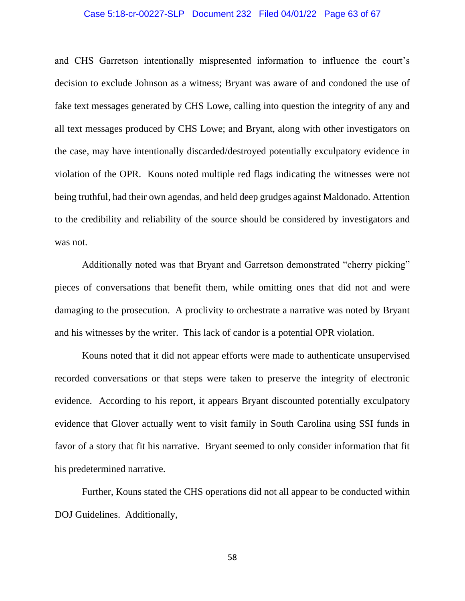#### Case 5:18-cr-00227-SLP Document 232 Filed 04/01/22 Page 63 of 67

and CHS Garretson intentionally mispresented information to influence the court's decision to exclude Johnson as a witness; Bryant was aware of and condoned the use of fake text messages generated by CHS Lowe, calling into question the integrity of any and all text messages produced by CHS Lowe; and Bryant, along with other investigators on the case, may have intentionally discarded/destroyed potentially exculpatory evidence in violation of the OPR. Kouns noted multiple red flags indicating the witnesses were not being truthful, had their own agendas, and held deep grudges against Maldonado. Attention to the credibility and reliability of the source should be considered by investigators and was not.

Additionally noted was that Bryant and Garretson demonstrated "cherry picking" pieces of conversations that benefit them, while omitting ones that did not and were damaging to the prosecution. A proclivity to orchestrate a narrative was noted by Bryant and his witnesses by the writer. This lack of candor is a potential OPR violation.

Kouns noted that it did not appear efforts were made to authenticate unsupervised recorded conversations or that steps were taken to preserve the integrity of electronic evidence. According to his report, it appears Bryant discounted potentially exculpatory evidence that Glover actually went to visit family in South Carolina using SSI funds in favor of a story that fit his narrative. Bryant seemed to only consider information that fit his predetermined narrative.

Further, Kouns stated the CHS operations did not all appear to be conducted within DOJ Guidelines. Additionally,

58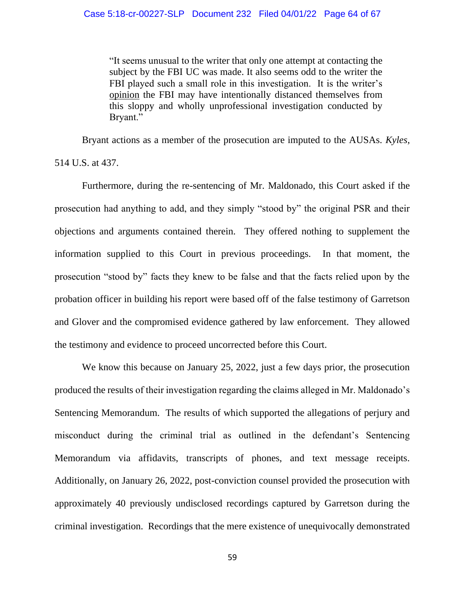"It seems unusual to the writer that only one attempt at contacting the subject by the FBI UC was made. It also seems odd to the writer the FBI played such a small role in this investigation. It is the writer's opinion the FBI may have intentionally distanced themselves from this sloppy and wholly unprofessional investigation conducted by Bryant."

Bryant actions as a member of the prosecution are imputed to the AUSAs. *Kyles*, 514 U.S. at 437.

Furthermore, during the re-sentencing of Mr. Maldonado, this Court asked if the prosecution had anything to add, and they simply "stood by" the original PSR and their objections and arguments contained therein. They offered nothing to supplement the information supplied to this Court in previous proceedings. In that moment, the prosecution "stood by" facts they knew to be false and that the facts relied upon by the probation officer in building his report were based off of the false testimony of Garretson and Glover and the compromised evidence gathered by law enforcement. They allowed the testimony and evidence to proceed uncorrected before this Court.

We know this because on January 25, 2022, just a few days prior, the prosecution produced the results of their investigation regarding the claims alleged in Mr. Maldonado's Sentencing Memorandum. The results of which supported the allegations of perjury and misconduct during the criminal trial as outlined in the defendant's Sentencing Memorandum via affidavits, transcripts of phones, and text message receipts. Additionally, on January 26, 2022, post-conviction counsel provided the prosecution with approximately 40 previously undisclosed recordings captured by Garretson during the criminal investigation. Recordings that the mere existence of unequivocally demonstrated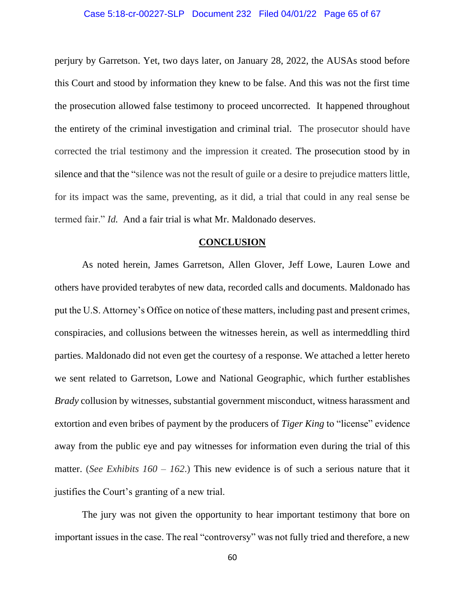#### Case 5:18-cr-00227-SLP Document 232 Filed 04/01/22 Page 65 of 67

perjury by Garretson. Yet, two days later, on January 28, 2022, the AUSAs stood before this Court and stood by information they knew to be false. And this was not the first time the prosecution allowed false testimony to proceed uncorrected. It happened throughout the entirety of the criminal investigation and criminal trial. The prosecutor should have corrected the trial testimony and the impression it created. The prosecution stood by in silence and that the "silence was not the result of guile or a desire to prejudice matters little, for its impact was the same, preventing, as it did, a trial that could in any real sense be termed fair." *Id.* And a fair trial is what Mr. Maldonado deserves.

## **CONCLUSION**

<span id="page-64-0"></span>As noted herein, James Garretson, Allen Glover, Jeff Lowe, Lauren Lowe and others have provided terabytes of new data, recorded calls and documents. Maldonado has put the U.S. Attorney's Office on notice of these matters, including past and present crimes, conspiracies, and collusions between the witnesses herein, as well as intermeddling third parties. Maldonado did not even get the courtesy of a response. We attached a letter hereto we sent related to Garretson, Lowe and National Geographic, which further establishes *Brady* collusion by witnesses, substantial government misconduct, witness harassment and extortion and even bribes of payment by the producers of *Tiger King* to "license" evidence away from the public eye and pay witnesses for information even during the trial of this matter. (*See Exhibits 160 – 162*.) This new evidence is of such a serious nature that it justifies the Court's granting of a new trial.

The jury was not given the opportunity to hear important testimony that bore on important issues in the case. The real "controversy" was not fully tried and therefore, a new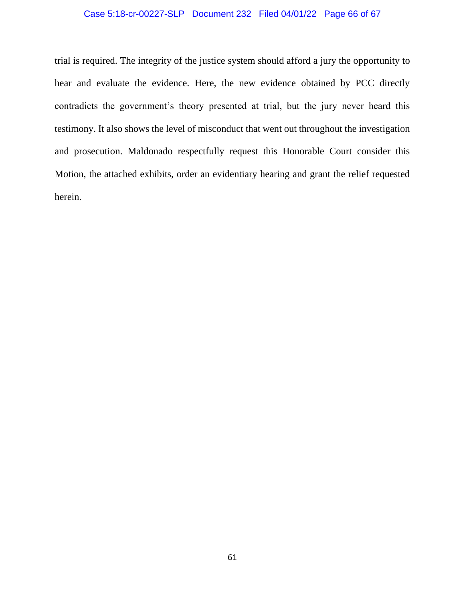# Case 5:18-cr-00227-SLP Document 232 Filed 04/01/22 Page 66 of 67

trial is required. The integrity of the justice system should afford a jury the opportunity to hear and evaluate the evidence. Here, the new evidence obtained by PCC directly contradicts the government's theory presented at trial, but the jury never heard this testimony. It also shows the level of misconduct that went out throughout the investigation and prosecution. Maldonado respectfully request this Honorable Court consider this Motion, the attached exhibits, order an evidentiary hearing and grant the relief requested herein.